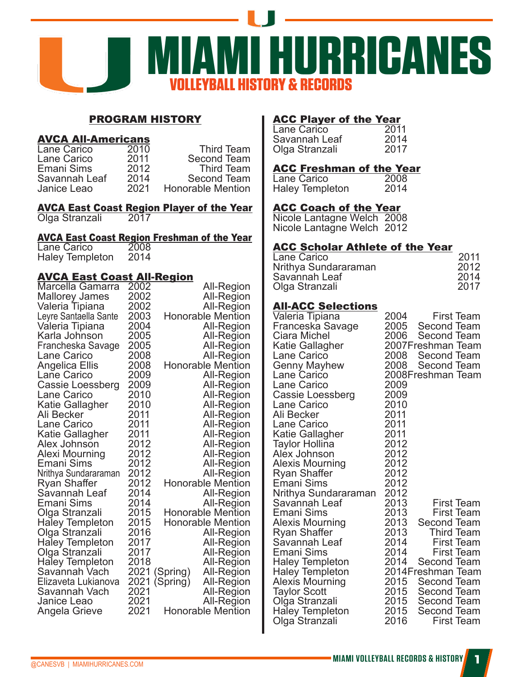

# PROGRAM HISTORY

#### AVCA All-Americans

| 2010 | <b>Third Team</b>        |
|------|--------------------------|
| 2011 | Second Team              |
| 2012 | <b>Third Team</b>        |
| 2014 | Second Team              |
| 2021 | <b>Honorable Mention</b> |
|      |                          |

#### AVCA East Coast Region Player of the Year Olga Stranzali 2017

# **AVCA East Coast Region Freshman of the Year<br>Lane Carico 2008**

Lane Carico 2008<br>Haley Templeton 2014 Haley Templeton

# AVCA East Coast All-Region

|                        |      | سعدر                          |
|------------------------|------|-------------------------------|
| Marcella Gamarra       | 2002 | <b>All-Region</b>             |
| <b>Mallorey James</b>  | 2002 | <b>All-Region</b>             |
| Valeria Tipiana        | 2002 | <b>All-Region</b>             |
| Leyre Santaella Sante  | 2003 | <b>Honorable Mention</b>      |
| Valeria Tipiana        | 2004 | <b>All-Region</b>             |
| Karla Johnson          | 2005 | <b>All-Region</b>             |
| Francheska Savage      | 2005 | All-Region                    |
| Lane Carico            | 2008 | All-Region                    |
| <b>Angelica Ellis</b>  | 2008 | <b>Honorable Mention</b>      |
| Lane Carico            | 2009 | <b>All-Region</b>             |
| Cassie Loessberg       | 2009 | <b>All-Region</b>             |
| Lane Carico            | 2010 | <b>All-Region</b>             |
| Katie Gallagher        | 2010 | <b>All-Region</b>             |
| Ali Becker             | 2011 | <b>All-Region</b>             |
| <b>Lane Carico</b>     | 2011 | All-Region                    |
| Katie Gallagher        | 2011 | <b>All-Region</b>             |
| Alex Johnson           | 2012 | <b>All-Region</b>             |
| <b>Alexi Mourning</b>  | 2012 | All-Region                    |
| Emani Sims             | 2012 | All-Region                    |
| Nrithya Sundararaman   | 2012 | <b>All-Region</b>             |
| <b>Ryan Shaffer</b>    | 2012 | <b>Honorable Mention</b>      |
| Savannah Leaf          | 2014 | All-Region                    |
| Emani Sims             | 2014 | <b>All-Region</b>             |
| Olga Stranzali         | 2015 | <b>Honorable Mention</b>      |
| <b>Haley Templeton</b> | 2015 | Honorable Mention             |
| Olga Stranzali         | 2016 | <b>All-Region</b>             |
| <b>Haley Templeton</b> | 2017 | <b>All-Region</b>             |
| Olga Stranzali         | 2017 | <b>All-Region</b>             |
| <b>Haley Templeton</b> | 2018 | All-Region                    |
| Savannah Vach          | 2021 | (Spring)<br>All-Region        |
| Elizaveta Lukianova    | 2021 | (Spring)<br><b>All-Region</b> |
| Savannah Vach          | 2021 | All-Region                    |
| Janice Leao            | 2021 | All-Region                    |
| Angela Grieve          | 2021 | Honorable Mention             |

# ACC Player of the Year

| Lane Carico    | 2011 |
|----------------|------|
| Savannah Leaf  | 2014 |
| Olga Stranzali | 2017 |

# ACC Freshman of the Year

| Lane Carico     | 2008 |
|-----------------|------|
| Haley Templeton | 2014 |

# ACC Coach of the Year

Nicole Lantagne Welch 2008 Nicole Lantagne Welch 2012

# ACC Scholar Athlete of the Year

| 2011 |
|------|
| 2012 |
| 2014 |
| 2017 |
|      |

# All-ACC Selections

| Valeria Tipiana<br>Franceska Savage<br>Ciara Michel<br>Katie Gallagher<br>Lane Carico<br><b>Genny Mayhew</b><br>Lane Carico<br><b>Lane Carico</b><br>Cassie Loessberg<br>Lane Carico<br>Ali Becker<br><b>Lane Carico</b><br>Katie Gallagher<br>Taylor Hollina<br>Alex Johnson<br><b>Alexis Mourning</b><br>Ryan Shaffer<br>Emani Sims | 2004<br>2006<br>2008<br>2008<br>2009<br>2009<br>2010<br>2011<br>2011<br>2011<br>2012<br>2012<br>2012<br>2012<br>2012 | 2005 Second Team<br><b>Second Team</b><br>2007Freshman Team<br>Second Team<br><b>Second Team</b><br>2008Freshman Team                                        | <b>First Team</b>                                                                              |
|---------------------------------------------------------------------------------------------------------------------------------------------------------------------------------------------------------------------------------------------------------------------------------------------------------------------------------------|----------------------------------------------------------------------------------------------------------------------|--------------------------------------------------------------------------------------------------------------------------------------------------------------|------------------------------------------------------------------------------------------------|
| Nrithya Sundararaman<br>Savannah Leaf<br>Emani Sims<br><b>Alexis Mourning</b><br>Ryan Shaffer<br>Savannah Leaf<br>Emani Sims<br><b>Haley Templeton</b><br>Haley Templeton<br><b>Alexis Mourning</b><br><b>Taylor Scott</b><br>Olga Stranzali<br>Haley Templeton<br>Olga Stranzali                                                     | 2012<br>2013<br>2013<br>2013<br>2013<br>2014<br>2014<br>2014<br>2015<br>2015<br>2015<br>2015<br>2016                 | <b>Second Team</b><br><b>Third Team</b><br><b>Second Team</b><br>2014Freshman Team<br>Second Team<br><b>Second Team</b><br>Second Team<br><b>Second Team</b> | <b>First Team</b><br><b>First Team</b><br>First Team<br><b>First Team</b><br><b>First Team</b> |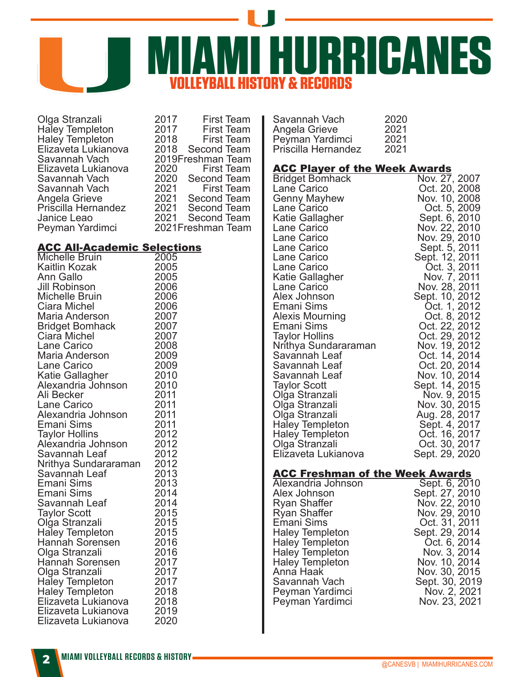

Olga Stranzali 2017 First Team<br>Haley Templeton 2017 First Team Haley Templeton 2017 First Team Haley Templeton 2018 First Team Elizaveta Lukianova<br>Savannah Vach 2019Freshman Team<br>2020 First Team Elizaveta Lukianova 2020 First Team Savannah Vach 2020 Second Team Savannah Vach 2021<br>Angela Grieve 2021 2021 Second Team<br>2021 Second Team Priscilla Hernandez 2021<br>Janice Leao 2021 Janice Leao 2021 Second Team<br>Pevman Yardimci 2021 Freshman Team 2021Freshman Team

# **ACC All-Academic Selections**<br>Michelle Bruin 2005

Michelle Bruin 2005<br>Kaitlin Kozak 2005 Kaitlin Kozak 2005 Ann Gallo 2005 Jill Robinson 2006 Michelle Bruin 2006<br>Ciara Michel 2006 Ciara Michel (2006)<br>Maria Anderson (2007) Maria Anderson 2007 Bridget Bomhack 2007<br>Ciara Michel 2007 Ciara Michel 2007 Lane Carico 2008 Maria Anderson 2009<br>Lane Carico 2009 Lane Carico <sup>2009</sup><br>Katie Gallagher 2010 Katie Gallagher (2010)<br>Alexandria Johnson (2010) Alexandria Johnson 2010 Ali Becker 2011 Lane Carico 2011 Alexandria Johnson 2011 Emani Sims 2011<br>Tavlor Hollins 2012 Taylor Hollins 2012<br>Alexandria Johnson 2012 Alexandria Johnson 2012 Savannah Leaf 2012 Nrithya Sundararaman 2012 Savannah Leaf 2013 Emani Sims 2013 Emani Sims 1994<br>Savannah Leaf 1994 Savannah Leaf 2014 Taylor Scott 2015<br>Olga Stranzali 2015 Olga Stranzali 2015 Haley Templeton 2015 Hannah Sorensen 2016<br>Olga Stranzali 2016 Olga Stranzali 2016 Hannah Sorensen atau 2017<br>Olga Stranzali atau 2017 Olga Stranzali 2017 Haley Templeton 2017<br>Haley Templeton 2018 Haley Templeton a 2018<br>Elizaveta Lukianova 2018 Elizaveta Lukianova 2018 Elizaveta Lukianova 2019 Elizaveta Lukianova

| Savannah Vach       | 2020 |
|---------------------|------|
| Angela Grieve       | 2021 |
| Peyman Yardimci     | 2021 |
| Priscilla Hernandez | 2021 |

#### ACC Player of the Week Awards

| <b>Bridget Bomhack</b>               | Nov. 27, 2007                  |
|--------------------------------------|--------------------------------|
| Lane Carico                          | Oct. 20, 2008                  |
| Genny Mayhew                         | Nov. 10, 2008                  |
| Lane Carico                          | Oct. 5, 2009                   |
| Katie Gallagher                      | Sept. 6, 2010                  |
| Lane Carico                          | Nov. 22, 2010                  |
| Lane Carico                          | Nov. 29, 2010                  |
| Lane Carico                          | Sept. 5, 2011                  |
| Lane Carico                          | Sept. 12, 2011                 |
| Lane Carico                          | Oct. 3, 2011                   |
| Katie Gallagher                      | Nov. 7, 2011                   |
| Lane Carico                          | Nov. 28, 2011                  |
| Alex Johnson                         | Sept. 10, 2012                 |
| Emani Sims                           | Oct. 1, 2012                   |
| <b>Alexis Mourning</b><br>Emani Sims | Oct. 8, 2012                   |
| <b>Taylor Hollins</b>                | Oct. 22, 2012<br>Oct. 29, 2012 |
| Nrithya Sundararaman                 | Nov. 19, 2012                  |
| Savannah Leaf                        | Oct. 14, 2014                  |
| Savannah Leaf                        | Oct. 20, 2014                  |
| Savannah Leaf                        | Nov. 10, 2014                  |
| <b>Taylor Scott</b>                  | Sept. 14, 2015                 |
| Olga Stranzali                       | Nov. 9, 2015                   |
| Olga Stranzali                       | Nov. 30, 2015                  |
| Olga Stranzali                       | Aug. 28, 2017                  |
| Haley Templeton                      | Sept. 4, 2017                  |
| <b>Haley Templeton</b>               | Oct. 16, 2017                  |
| Olga Stranzali                       | Oct. 30, 2017                  |
| Elizaveta Lukianova                  | Sept. 29, 2020                 |
|                                      |                                |

#### ACC Freshman of the Week Awards

| Alexandria Johnson     | Sept. 6, 2010  |
|------------------------|----------------|
| Alex Johnson           | Sept. 27, 2010 |
| <b>Ryan Shaffer</b>    | Nov. 22, 2010  |
| <b>Ryan Shaffer</b>    | Nov. 29, 2010  |
| Emani Sims             | Oct. 31, 2011  |
| <b>Haley Templeton</b> | Sept. 29, 2014 |
| <b>Haley Templeton</b> | Oct. 6, 2014   |
| <b>Haley Templeton</b> | Nov. 3, 2014   |
| <b>Haley Templeton</b> | Nov. 10, 2014  |
| Anna Haak              | Nov. 30, 2015  |
| Savannah Vach          | Sept. 30, 2019 |
| Peyman Yardimci        | Nov. 2, 2021   |
| Peyman Yardimci        | Nov. 23, 2021  |
|                        |                |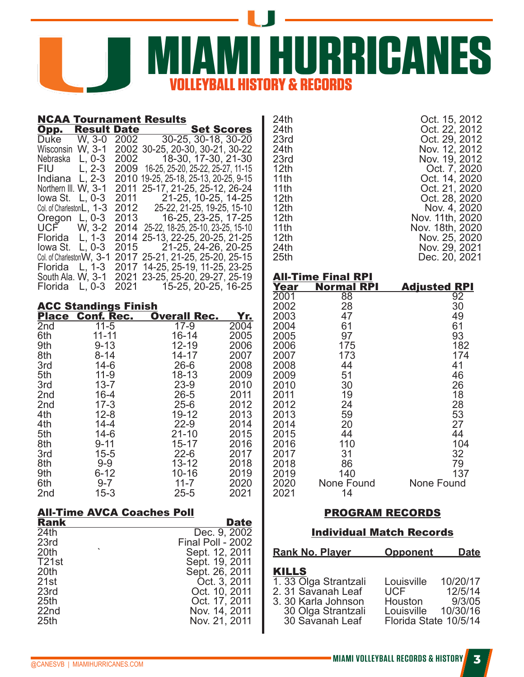

|                                              | <b>NCAA Tournament Results</b>                                              |                                                                                                                                                                              |                                  | 24th                                                             |                                                |                        | Oct. 15, 2012                                                       |
|----------------------------------------------|-----------------------------------------------------------------------------|------------------------------------------------------------------------------------------------------------------------------------------------------------------------------|----------------------------------|------------------------------------------------------------------|------------------------------------------------|------------------------|---------------------------------------------------------------------|
| Opp.<br>Duke<br>Wisconsin W, 3-1<br>Nebraska | <b>Result Date</b><br>W, 3-0<br>2002<br>2002<br>$L, 0-3$                    | 30-25, 30-18, 30-20<br>2002 30-25, 20-30, 30-21, 30-22<br>18-30, 17-30, 21-30                                                                                                | <b>Set Scores</b>                | 24th<br>23rd<br>24th<br>23rd                                     |                                                |                        | Oct. 22, 2012<br>Oct. 29, 2012<br>Nov. 12, 2012<br>Nov. 19, 2012    |
| <b>FIU</b><br>Indiana L, 2-3                 | $L, 2-3$                                                                    | 2009 16-25, 25-20, 25-22, 25-27, 11-15<br>2010 19-25, 25-18, 25-13, 20-25, 9-15<br>Northern III. W, 3-1 2011 25-17, 21-25, 25-12, 26-24                                      |                                  | 12 <sub>th</sub><br>11th<br>11th                                 |                                                |                        | Oct. 7, 2020<br>Oct. 14, 2020<br>Oct. 21, 2020                      |
| UCF                                          | lowa St. L, 0-3 2011<br>Col. of CharlestonL, 1-3 2012<br>Oregon L, 0-3 2013 | 21-25, 10-25, 14-25<br>25-22, 21-25, 19-25, 15-10<br>16-25, 23-25, 17-25<br>W, 3-2 2014 25-22, 18-25, 25-10, 23-25, 15-10                                                    |                                  | 12 <sub>th</sub><br>12 <sub>th</sub><br>12 <sub>th</sub><br>11th |                                                |                        | Oct. 28, 2020<br>Nov. 4, 2020<br>Nov. 11th, 2020<br>Nov. 18th, 2020 |
| Florida                                      | lowa St. L, 0-3 2015                                                        | Florida L, 1-3 2014 25-13, 22-25, 20-25, 21-25<br>21-25, 24-26, 20-25<br>Col. of Charleston W, 3-1 2017 25-21, 21-25, 25-20, 25-15<br>L, 1-3 2017 14-25, 25-19, 11-25, 23-25 |                                  | 12 <sub>th</sub><br>24th<br>25th                                 |                                                |                        | Nov. 25, 2020<br>Nov. 29, 2021<br>Dec. 20, 2021                     |
| Florida L, 0-3                               | 2021                                                                        | South Ala. W, 3-1 2021 23-25, 25-20, 29-27, 25-19<br>15-25, 20-25, 16-25                                                                                                     |                                  | Year                                                             | <b>All-Time Final RPI</b><br><b>Normal RPI</b> | <b>Adjusted RPI</b>    |                                                                     |
|                                              | <b>ACC Standings Finish</b>                                                 |                                                                                                                                                                              |                                  | 2001<br>2002                                                     | 88<br>28                                       |                        | 92<br>30                                                            |
|                                              | <b>Place Conf. Rec.</b>                                                     | <b>Overall Rec.</b>                                                                                                                                                          | Yr.                              | 2003                                                             | 47                                             |                        | 49                                                                  |
| 2nd                                          | $11 - 5$                                                                    | $17-9$                                                                                                                                                                       | 2004                             | 2004                                                             | 61                                             |                        | 61                                                                  |
| 6th                                          | $11 - 11$                                                                   | $16 - 14$                                                                                                                                                                    | 2005                             | 2005                                                             | 97                                             |                        | 93                                                                  |
| 9th                                          | $9 - 13$                                                                    | $12 - 19$                                                                                                                                                                    | 2006                             | 2006                                                             | 175                                            |                        | 182                                                                 |
| 8th                                          | $8 - 14$                                                                    | 14-17                                                                                                                                                                        | 2007                             | 2007                                                             | 173                                            |                        | 174                                                                 |
| 3rd                                          | $14-6$                                                                      | $26 - 6$                                                                                                                                                                     | 2008                             | 2008                                                             | 44                                             |                        | 41                                                                  |
| 5th                                          | $11-9$                                                                      | $18 - 13$                                                                                                                                                                    | 2009                             | 2009                                                             | 51                                             |                        | 46                                                                  |
| 3rd                                          | $13 - 7$                                                                    | $23-9$<br>$26 - 5$                                                                                                                                                           | 2010<br>2011                     | 2010<br>2011                                                     | 30<br>19                                       |                        | 26<br>18                                                            |
| 2nd<br>2nd                                   | $16 - 4$<br>$17 - 3$                                                        | $25 - 6$                                                                                                                                                                     | 2012                             | 2012                                                             | 24                                             |                        | 28                                                                  |
| 4th                                          | $12 - 8$                                                                    | $19 - 12$                                                                                                                                                                    | 2013                             | 2013                                                             | 59                                             |                        | 53                                                                  |
| 4th                                          | $14 - 4$                                                                    | $22-9$                                                                                                                                                                       | 2014                             | 2014                                                             | 20                                             |                        | 27                                                                  |
| 5th                                          | $14-6$                                                                      | $21 - 10$                                                                                                                                                                    | 2015                             | 2015                                                             | 44                                             |                        | 44                                                                  |
| 8th                                          | $9 - 11$                                                                    | $15 - 17$                                                                                                                                                                    | 2016                             | 2016                                                             | 110                                            |                        | 104                                                                 |
| 3rd                                          | $15 - 5$                                                                    | $22 - 6$                                                                                                                                                                     | 2017                             | 2017                                                             | 31                                             |                        | 32                                                                  |
| 8th                                          | $9-9$                                                                       | $13 - 12$                                                                                                                                                                    | 2018                             | 2018                                                             | 86                                             |                        | 79                                                                  |
| 9th                                          | $6 - 12$                                                                    | $10 - 16$                                                                                                                                                                    | 2019                             | 2019                                                             | 140                                            |                        | 137                                                                 |
| 6th                                          | $9 - 7$                                                                     | $11 - 7$                                                                                                                                                                     | 2020                             | 2020                                                             | None Found                                     | None Found             |                                                                     |
| 2 <sub>nd</sub>                              | $15 - 3$                                                                    | $25 - 5$                                                                                                                                                                     | 2021                             | 2021                                                             | 14                                             |                        |                                                                     |
| <b>Rank</b>                                  | <b>All-Time AVCA Coaches Poll</b>                                           |                                                                                                                                                                              | <b>Date</b>                      |                                                                  |                                                | <b>PROGRAM RECORDS</b> |                                                                     |
| $\overline{24}$ th<br>23rd                   |                                                                             | Final Poll - 2002                                                                                                                                                            | Dec. 9, 2002                     |                                                                  | <b>Individual Match Records</b>                |                        |                                                                     |
| 20th<br>T <sub>21</sub> st                   |                                                                             |                                                                                                                                                                              | Sept. 12, 2011<br>Sept. 19, 2011 |                                                                  | <b>Rank No. Player</b>                         | <b>Opponent</b>        | <u>Date</u>                                                         |
| 20th                                         |                                                                             |                                                                                                                                                                              | Sept. 26, 2011                   | <b>KILLS</b>                                                     |                                                |                        |                                                                     |
| 21st                                         |                                                                             |                                                                                                                                                                              | Oct. 3, 2011                     |                                                                  | 1.33 Olga Strantzali                           | Louisville             | 10/20/17                                                            |
| 23rd                                         |                                                                             |                                                                                                                                                                              | Oct. 10, 2011                    |                                                                  | 2.31 Savanah Leaf                              | <b>UCF</b>             | 12/5/14                                                             |
| 25 <sub>th</sub>                             |                                                                             |                                                                                                                                                                              | Oct. 17, 2011                    |                                                                  | 3.30 Karla Johnson                             | Houston                | 9/3/05                                                              |
| 22nd                                         |                                                                             |                                                                                                                                                                              | Nov. 14, 2011                    |                                                                  | 30 Olga Strantzali                             | Louisville             | 10/30/16                                                            |
| 25 <sub>th</sub>                             |                                                                             |                                                                                                                                                                              | Nov. 21, 2011                    |                                                                  | 30 Savanah Leaf                                | Florida State 10/5/14  |                                                                     |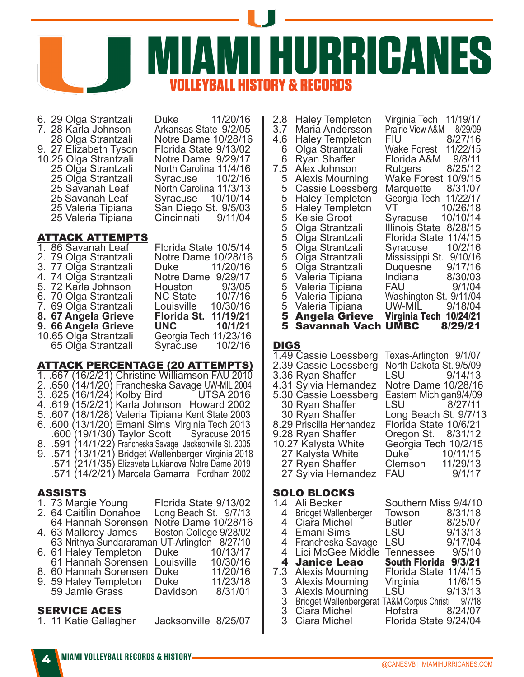

6. 29 Olga Strantzali Duke 11/20/16 7. 28 Karla Johnson<br>28 Olga Strantzali 9. 27 Eližabeth Tyson Florida State 9/13/02<br>10.25 Olga Strantzali Notre Dame 9/29/17 10.25 Olga Strantzali<br>25 Olga Strantzali 25 Olğa Strantzali<br>25 Savanah Leaf 25 Savanah Leaf<br>25 Valeria Tipiana 25 Valeria Tipiana

Notre Dame 10/28/16<br>Florida State 9/13/02 North Carolina 11/4/16<br>Syracuse 10/2/16 North Carolina 11/3/13<br>Syracuse 10/10/14 25 San Diego St. 9/5/03<br>Cincinnati. 9/11/04

# ATTACK ATTEMPTS

|  | 1.86 Savanah Leaf     | Florida State 10/5/14 |          |
|--|-----------------------|-----------------------|----------|
|  | 2. 79 Olga Strantzali | Notre Dame 10/28/16   |          |
|  | 3. 77 Olga Strantzali | Duke 11/20/16         |          |
|  | 4.74 Olga Strantzali  | Notre Dame 9/29/17    |          |
|  | 5. 72 Karla Johnson   | Houston 9/3/05        |          |
|  | 6. 70 Olga Strantzali | NC State              | 10/7/16  |
|  | 7. 69 Olga Strantzali | Louisville            | 10/30/16 |
|  | 8. 67 Angela Grieve   | <b>Florida St.</b>    | 11/19/21 |
|  | 9. 66 Angela Grieve   | <b>UNC</b>            | 10/1/21  |
|  | 10.65 Olga Strantzali | Georgia Tech 11/23/16 |          |
|  | 65 Olga Strantzali    | Syracuse 10/2/16      |          |

#### ATTACK PERCENTAGE (20 ATTEMPTS)

1. .667 (16/2/21) Christine Williamson FAU 2010 2. .650 (14/1/20) Francheska Savage UW-MIL 2004 3. .625 (16/1/24) Kolby Bird 4. .619 (15/2/21) Karla Johnson Howard 2002 5. .607 (18/1/28) Valeria Tipiana Kent State 2003 6. .600 (13/1/20) Emani Sims Virginia Tech 2013 .600 (19/1/30) Taylor Scott Syracuse 2015 8. .591 (14/1/22) Francheska Savage Jacksonville St. 2005 9. .571 (13/1/21) Bridget Wallenberger Virginia 2018 .571 (21/1/35) Elizaveta Lukianova Notre Dame 2019 .571 (14/2/21) Marcela Gamarra Fordham 2002 ASSISTS 1. 73 Margie Young Florida State 9/13/02<br>2. 64 Caitilin Donahoe Long Beach St. 9/7/13 2. 64 Caitilin Donahoe 64 Hannah Sorensen Notre Dame 10/28/16 4. 63 Mallorey James Boston College 9/28/02 63 Nrithya Sundararaman UT-Arlington 8/27/10 6. 61 Haley Templeton Duke 10/13/17 61 Hannah Sorensen Louisville 10/30/16 8. 60 Hannah Sorensen Duke 11/20/16<br>9. 59 Halev Templeton Duke 11/23/18 9. 59 Haley Templeton Duke 11/23/18 59 Jamie Grass

# SERVICE ACES

1. 11 Katie Gallagher Jacksonville 8/25/07

|  | 2.8<br>3.7<br>4.6<br>6<br>6<br>7.5<br>5<br>5<br>$\frac{5}{5}$<br>5<br>5<br>5<br>5<br>5<br>5<br>5<br>5<br>5<br>5<br>5 | <b>Haley Templeton</b><br><b>Maria Andersson</b><br><b>Haley Templeton</b><br>Olga Strantzali<br><b>Ryan Shaffer</b><br>Alex Johnson<br><b>Alexis Mourning</b><br>Cassie Loessberg<br><b>Haley Templeton</b><br><b>Haley Templeton</b><br><b>Kelsie Groot</b><br>Olga Strantzali<br>Olga Strantzali<br>Olga Strantzali<br>Olga Strantzali<br>Olga Strantzali<br>Valeria Tipiana<br>Valeria Tipiana<br>Valeria Tipiana<br>Valeria Tipiana<br><b>5 Angela Grieve</b> | 11/19/17<br>Virginia Tech<br>Prairie View A&M<br>8/29/09<br>8/27/16<br>FIU<br>11/22/15<br><b>Wake Forest</b><br>9/8/11<br>Florida A&M<br>8/25/12<br>Rutgers<br>10/9/15<br>Wake Forest<br>8/31/07<br>Marquette<br>Georgia Tech<br>11/22/17<br>10/26/18<br>VT.<br>10/10/14<br>Syracuse<br>Illinois State<br>8/28/15<br>11/4/15<br>Florida State<br>10/2/16<br>Syracuse<br>Mississippi St.<br>9/10/16<br>Duquesne<br>9/17/16<br>8/30/03<br>Indiana<br>9/1/04<br>FAU<br>Washington St. 9/11/04<br>UW-MIL<br>9/18/04<br>10/24/21<br>Virginia Tech |
|--|----------------------------------------------------------------------------------------------------------------------|--------------------------------------------------------------------------------------------------------------------------------------------------------------------------------------------------------------------------------------------------------------------------------------------------------------------------------------------------------------------------------------------------------------------------------------------------------------------|----------------------------------------------------------------------------------------------------------------------------------------------------------------------------------------------------------------------------------------------------------------------------------------------------------------------------------------------------------------------------------------------------------------------------------------------------------------------------------------------------------------------------------------------|
|--|----------------------------------------------------------------------------------------------------------------------|--------------------------------------------------------------------------------------------------------------------------------------------------------------------------------------------------------------------------------------------------------------------------------------------------------------------------------------------------------------------------------------------------------------------------------------------------------------------|----------------------------------------------------------------------------------------------------------------------------------------------------------------------------------------------------------------------------------------------------------------------------------------------------------------------------------------------------------------------------------------------------------------------------------------------------------------------------------------------------------------------------------------------|

# **DIGS**

| 1.49 Cassie Loessberg    | Texas-Arlington 9/1/07  |  |
|--------------------------|-------------------------|--|
| 2.39 Cassie Loessberg    | North Dakota St. 9/5/09 |  |
| 3.36 Ryan Shaffer        | LSU 9/14/13             |  |
| 4.31 Sylvia Hernandez    | Notre Dame 10/28/16     |  |
| 5.30 Cassie Loessberg    | Eastern Michigan9/4/09  |  |
| 30 Ryan Shaffer          | LSU 8/27/11             |  |
| 30 Ryan Shaffer          | Long Beach St. 9/7/13   |  |
| 8.29 Priscilla Hernandez | Florida State 10/6/21   |  |
| 9.28 Ryan Shaffer        | Oregon St. 8/31/12      |  |
| 10.27 Kalysta White      | Georgia Tech 10/2/15    |  |
| 27 Kalysta White         | Duke 10/11/15           |  |
| 27 Ryan Shaffer          | Clemson 11/29/13        |  |
| 27 Sylvia Hernandez      | FAU 9/1/17              |  |
|                          |                         |  |

#### SOLO BLOCKS

| $\overline{1}$ .4 | Ali Becker                                                          | Southern Miss 9/4/10  |         |
|-------------------|---------------------------------------------------------------------|-----------------------|---------|
| 4                 | <b>Bridget Wallenberger</b>                                         | Towson                | 8/31/18 |
| 4                 | Ciara Michel                                                        | Butler                | 8/25/07 |
| 4                 | <b>Emani Sims</b>                                                   | LSU                   | 9/13/13 |
| 4                 | Francheska Savage                                                   | LSU                   | 9/17/04 |
|                   | 4 Lici McGee Middle                                                 | <b>Tennessee</b>      | 9/5/10  |
|                   | 4 Janice Leao                                                       | <b>South Florida</b>  | 9/3/21  |
|                   |                                                                     |                       |         |
| 7.3               | <b>Alexis Mourning</b>                                              | <b>Florida State</b>  | 11/4/15 |
| 3                 | <b>Alexis Mourning</b>                                              | Virginia              | 11/6/15 |
| 3                 | Alexis Mourning                                                     | LSŬ                   | 9/13/13 |
| 3                 |                                                                     |                       |         |
|                   | Bridget Wallenbergerat TA&M Corpus Christi 9/7/18<br>3 Ciara Michel | Hofstra 8/24/07       |         |
| 3                 | Ciara Michel                                                        | Florida State 9/24/04 |         |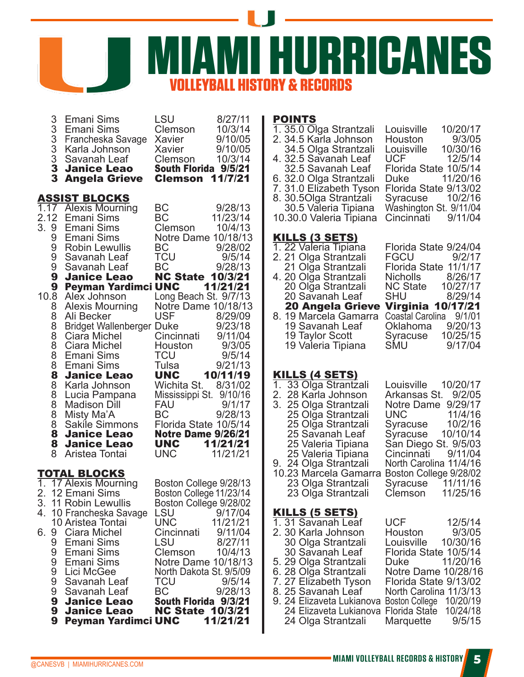

| 3            | <b>Emani Sims</b>                            | LSU                                               | 8/27/11  | <b>POINTS</b>                                     |                         |          |
|--------------|----------------------------------------------|---------------------------------------------------|----------|---------------------------------------------------|-------------------------|----------|
| 3            | Emani Sims                                   | Clemson                                           | 10/3/14  | 1. 35.0 Olga Strantzali                           | Louisville              | 10/20/17 |
|              | 3 Francheska Savage                          | Xavier                                            | 9/10/05  | 2. 34.5 Karla Johnson                             | Houston                 | 9/3/05   |
| 3            | Karla Johnson                                | Xavier                                            | 9/10/05  | 34.5 Olga Strantzali                              | Louisville              | 10/30/16 |
| $\sqrt{3}$   | Savanah Leaf                                 | Clemson                                           | 10/3/14  | 4. 32.5 Savanah Leaf                              | <b>UCF</b>              | 12/5/14  |
| $\mathbf{3}$ | <b>Janice Leao</b>                           | South Florida 9/5/21                              |          | 32.5 Savanah Leaf                                 | Florida State 10/5/14   |          |
| 3            | <b>Angela Grieve</b>                         | <b>Clemson 11/7/21</b>                            |          | 6. 32.0 Olga Strantzali                           | Duke                    | 11/20/16 |
|              |                                              |                                                   |          | 7. 31.0 Elizabeth Tyson                           | Florida State 9/13/02   |          |
|              | <b>ASSIST BLOCKS</b>                         |                                                   |          | 8. 30.50lga Strantzali                            | Syracuse                | 10/2/16  |
|              | 1.17 Alexis Mourning                         | ВC                                                | 9/28/13  | 30.5 Valeria Tipiana                              | Washington St. 9/11/04  |          |
| 2.12         | Emani Sims                                   | BC                                                | 11/23/14 | 10.30.0 Valeria Tipiana                           | Cincinnati              | 9/11/04  |
| 3.9          | Emani Sims                                   | Clemson                                           | 10/4/13  |                                                   |                         |          |
| 9            | Emani Sims                                   | Notre Dame 10/18/13                               |          | <u>KILLS (3 SETS)</u>                             |                         |          |
| 9            | Robin Lewullis                               | ВC                                                | 9/28/02  | 1. 22 Valeria Tipiana                             | Florida State 9/24/04   |          |
| 9            | Savanah Leaf                                 | <b>TCU</b>                                        | 9/5/14   | 2. 21 Olga Strantzali                             | <b>FGCU</b>             | 9/2/17   |
| 9            | Savanah Leaf                                 | BC                                                | 9/28/13  | 21 Olga Strantzali                                | Florida State 11/1/17   |          |
| 9            | <b>Janice Leao</b>                           | <b>NC State 10/3/21</b>                           |          | 4. 20 Olga Strantzali                             | <b>Nicholls</b>         | 8/26/17  |
| 9            | <b>Peyman Yardimci UNC</b>                   |                                                   | 11/21/21 | 20 Olga Strantzali                                | <b>NC State</b>         | 10/27/17 |
|              | 10.8 Alex Johnson                            | Long Beach St. 9/7/13                             |          | 20 Savanah Leaf                                   | <b>SHU</b>              | 8/29/14  |
| 8            | <b>Alexis Mourning</b>                       | Notre Dame 10/18/13                               |          | 20 Angela Grieve Virginia 10/17/21                |                         |          |
| 8            | Ali Becker                                   | <b>USF</b>                                        | 8/29/09  | 8. 19 Marcela Gamarra                             | Coastal Carolina 9/1/01 |          |
| 8            | Bridget Wallenberger Duke                    |                                                   | 9/23/18  | 19 Savanah Leaf                                   | Oklahoma                | 9/20/13  |
| 8            | Ciara Michel                                 | Cincinnati                                        | 9/11/04  | 19 Taylor Scott                                   | Syracuse                | 10/25/15 |
| 8            | Ciara Michel                                 | Houston                                           | 9/3/05   | 19 Valeria Tipiana                                | <b>SMU</b>              | 9/17/04  |
| 8            | Emani Sims                                   | <b>TCU</b>                                        | 9/5/14   |                                                   |                         |          |
| 8            | Emani Sims                                   | Tulsa                                             | 9/21/13  |                                                   |                         |          |
| 8            | <b>Janice Leao</b>                           | <b>UNC</b>                                        | 10/11/19 | <b>KILLS (4 SETS)</b>                             |                         |          |
| 8            | Karla Johnson                                | Wichita St.                                       | 8/31/02  | 1. 33 Olga Strantzali                             | Louisville              | 10/20/17 |
| 8            | Lucia Pampana                                | Mississippi St. 9/10/16                           |          | 2. 28 Karla Johnson                               | Arkansas St. 9/2/05     |          |
| 8            | <b>Madison Dill</b>                          | <b>FAU</b>                                        | 9/1/17   | 3. 25 Olga Strantzali                             | Notre Dame 9/29/17      |          |
| 8            | Misty Ma'A                                   | ВC                                                | 9/28/13  | 25 Olga Strantzali                                | <b>UNC</b>              | 11/4/16  |
| 8            | <b>Sakile Simmons</b>                        | Florida State 10/5/14                             |          | 25 Olga Strantzali                                | Syracuse                | 10/2/16  |
| 8            | <b>Janice Leao</b>                           | <b>Notre Dame 9/26/21</b>                         |          | 25 Savanah Leaf                                   | Syracuse                | 10/10/14 |
| 8            | <b>Janice Leao</b>                           | <b>UNC</b>                                        | 11/21/21 | 25 Valeria Tipiana                                | San Diego St. 9/5/03    |          |
| 8            | Aristea Tontai                               | <b>UNC</b>                                        | 11/21/21 | 25 Valeria Tipiana                                | Cincinnati              | 9/11/04  |
|              |                                              |                                                   |          | 9. 24 Olga Strantzali                             | North Carolina 11/4/16  |          |
|              | <b>TOTAL BLOCKS</b><br>1. 17 Alexis Mourning |                                                   |          | 10.23 Marcela Gamarra                             | Boston College 9/28/02  | 11/11/16 |
|              | 2. 12 Emani Sims                             | Boston College 9/28/13<br>Boston College 11/23/14 |          | 23 Olga Strantzali                                | Syracuse<br>Clemson     | 11/25/16 |
|              | 3. 11 Robin Lewullis                         |                                                   |          | 23 Olga Strantzali                                |                         |          |
|              | 4. 10 Francheska Savage                      | Boston College 9/28/02<br><b>LSU</b>              | 9/17/04  | <b>KILLS (5 SETS)</b>                             |                         |          |
|              | 10 Aristea Tontai                            | <b>UNC</b>                                        | 11/21/21 | 1.31 Savanah Leaf                                 | <b>UCF</b>              | 12/5/14  |
| 6.9          | Ciara Michel                                 | Cincinnati                                        | 9/11/04  | 2. 30 Karla Johnson                               | Houston                 | 9/3/05   |
| 9            | Emani Sims                                   | <b>LSU</b>                                        | 8/27/11  | 30 Olga Strantzali                                | Louisville              | 10/30/16 |
| 9            | Emani Sims                                   | Clemson                                           | 10/4/13  | 30 Savanah Leaf                                   | Florida State 10/5/14   |          |
| 9            | Emani Sims                                   | Notre Dame 10/18/13                               |          | 5. 29 Olga Strantzali                             | Duke                    | 11/20/16 |
| 9            | Lici McGee                                   | North Dakota St. 9/5/09                           |          | 6. 28 Olga Strantzali                             | Notre Dame 10/28/16     |          |
| 9            | Savanah Leaf                                 | <b>TCU</b>                                        | 9/5/14   | 7. 27 Elizabeth Tyson                             | Florida State 9/13/02   |          |
| 9            | Savanah Leaf                                 | BC                                                | 9/28/13  | 8. 25 Savanah Leaf                                | North Carolina 11/3/13  |          |
| 9            | <b>Janice Leao</b>                           | South Florida 9/3/21                              |          | 9. 24 Elizaveta Lukianova Boston College 10/20/19 |                         |          |
| 9            | <b>Janice Leao</b>                           | <b>NC State 10/3/21</b>                           |          | 24 Elizaveta Lukianova Florida State 10/24/18     |                         |          |
| 9            | Peyman Yardimci UNC                          |                                                   | 11/21/21 | 24 Olga Strantzali                                | Marquette               | 9/5/15   |
|              |                                              |                                                   |          |                                                   |                         |          |
|              |                                              |                                                   |          |                                                   |                         |          |

| 32.5 Savanah Leaf<br>6. 32.0 Olga Strantzali<br>7. 31.0 Elizabeth Tyson<br>8. 30.5Olga Strantzali<br>30.5 Valeria Tipiana<br>10.30.0 Valeria Tipiana | Florida State 10/5/14<br>Duke 11/20/16<br>Florida State 9/13/02<br>Syracuse 10/2/16<br>Washington St. 9/11/04<br>Cincinnati 9/11/04 |
|------------------------------------------------------------------------------------------------------------------------------------------------------|-------------------------------------------------------------------------------------------------------------------------------------|
| <u>KILLS (3 SETS)</u>                                                                                                                                |                                                                                                                                     |
| 1. 22 Valeria Tipiana                                                                                                                                | Florida State 9/24/04                                                                                                               |
| 2. 21 Olga Strantzali                                                                                                                                | FGCU 9/2/17                                                                                                                         |
| 21 Olga Strantzali                                                                                                                                   | Florida State 11/1/17                                                                                                               |
| 4. 20 Olga Strantzali                                                                                                                                | Nicholls 8/26/17                                                                                                                    |
| 20 Olga Strantzali                                                                                                                                   | NC State 10/27/17                                                                                                                   |
| 20 Savanah Leaf                                                                                                                                      | SHU 8/29/14                                                                                                                         |
|                                                                                                                                                      | 20 Angela Grieve Virginia 10/17/21                                                                                                  |
| 8. 19 Marcela Gamarra                                                                                                                                | Coastal Carolina 9/1/01                                                                                                             |
| 19 Savanah Leaf                                                                                                                                      | Oklahoma 9/20/13                                                                                                                    |
| 10 Toular Boott                                                                                                                                      | C                                                                                                                                   |

|  | Louisville 10/20/17                                                                                                                                                                                                                                                            |
|--|--------------------------------------------------------------------------------------------------------------------------------------------------------------------------------------------------------------------------------------------------------------------------------|
|  | Arkansas St.<br>9/2/05                                                                                                                                                                                                                                                         |
|  | Notre Dame<br>9/29/17                                                                                                                                                                                                                                                          |
|  | 11/4/16<br>UNC <b>With Street</b>                                                                                                                                                                                                                                              |
|  | 10/2/16<br>Syracuse                                                                                                                                                                                                                                                            |
|  | Syracuse<br>10/10/14                                                                                                                                                                                                                                                           |
|  | San Diego St. 9/5/03                                                                                                                                                                                                                                                           |
|  | Cincinnati 9/11/04                                                                                                                                                                                                                                                             |
|  | North Carolina 11/4/16                                                                                                                                                                                                                                                         |
|  | Boston College 9/28/02                                                                                                                                                                                                                                                         |
|  | Syracuse 11/11/16                                                                                                                                                                                                                                                              |
|  | Clemson 11/25/16                                                                                                                                                                                                                                                               |
|  | 1. 33 Olga Strantzali<br>2. 28 Karla Johnson<br>3. 25 Olga Strantzali<br>25 Olga Strantzali<br>25 Olga Strantzali<br>25 Savanah Leaf<br>25 Valeria Tipiana<br>25 Valeria Tipiana<br>9. 24 Olga Strantzali<br>10.23 Marcela Gamarra<br>23 Olga Strantzali<br>23 Olga Strantzali |

| 1.31 Savanah Leaf                   | <b>UCF</b>              | 12/5/14 |
|-------------------------------------|-------------------------|---------|
| 2.30 Karla Johnson                  | Houston 9/3/05          |         |
| 30 Olga Strantzali                  | Louisville 10/30/16     |         |
| 30 Savanah Leaf                     | Florida State 10/5/14   |         |
| 5. 29 Olga Strantzali               | Duke 11/20/16           |         |
| 6. 28 Olga Strantzali               | Notre Dame 10/28/16     |         |
| 7. 27 Elizabeth Tyson               | Florida State 9/13/02   |         |
| 8. 25 Savanah Leaf                  | North Carolina 11/3/13  |         |
| 9. 24 Elizaveta Lukianova           | Boston College 10/20/19 |         |
| 24 Elizaveta Lukianova              | Florida State 10/24/18  |         |
| 24 Olga Strantzali Marquette 9/5/15 |                         |         |
|                                     |                         |         |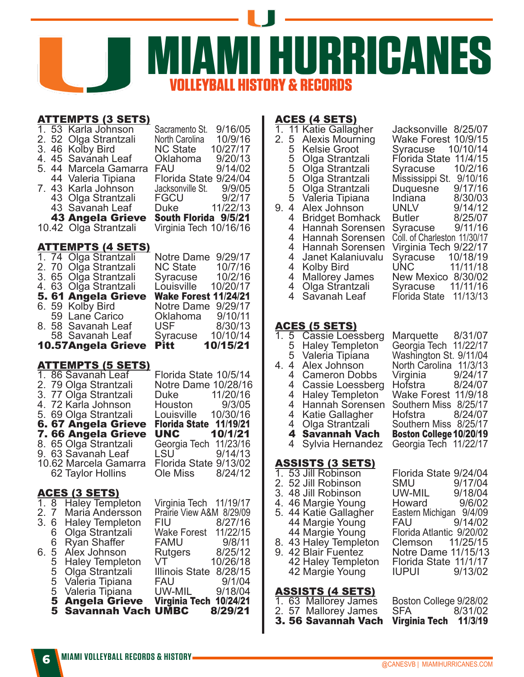

# TTEMDTS (2 SETS)

| $\overline{1}$ .<br>5.<br>7. | $\overline{53}$<br>2.52<br>4.45<br>43<br>10.42 | <u>АТТЕМРТЭ (Э ЭЕТЭ)</u><br>Karla Johnson<br>Olga Strantzali<br>3. 46 Kolby Bird<br>Savanah Leaf<br>44 Marcela Gamarra<br>44 Valeria Tipiana<br>43 Karla Johnson<br>43 Olga Strantzali<br>Savanah Leaf<br><b>43 Angela Grieve</b><br>Olga Strantzali                                    | 9/16/05<br>Sacramento St.<br>North Carolina<br>10/9/16<br><b>NC State</b><br>10/27/17<br>9/20/13<br>Oklahoma<br>9/14/02<br>FAU<br>Florida State 9/24/04<br>Jacksonville St.<br>9/9/05<br>9/2/17<br>FGCU<br><b>Duke</b><br>11/22/13<br>South Florida 9/5/21<br>Virginia Tech 10/16/16 |
|------------------------------|------------------------------------------------|-----------------------------------------------------------------------------------------------------------------------------------------------------------------------------------------------------------------------------------------------------------------------------------------|--------------------------------------------------------------------------------------------------------------------------------------------------------------------------------------------------------------------------------------------------------------------------------------|
| 6.<br>8.                     |                                                | <u>ATTEMPTS (4 SETS)</u><br>1. 74 Olga Strantzali<br>2. 70 Olga Strantzali<br>3. 65 Olga Strantzali<br>4. 63 Olga Strantzali<br>5. 61 Angela Grieve<br>59 Kolby Bird<br>59 Lane Carico<br>58 Savanah Leaf<br>58 Savanah Leaf<br>10.57Angela Grieve                                      | 9/29/17<br><b>Notre Dame</b><br><b>NC State</b><br>10/7/16<br>10/2/16<br>Syracuse<br>10/20/17<br>Louisville<br><b>Wake Forest 11/24/21</b><br>9/29/17<br>Notre Dame<br>9/10/11<br>Oklahoma<br><b>USF</b><br>8/30/13<br>10/10/14<br>Syracuse<br><b>Pitt</b><br>10/15/21               |
| 1.                           |                                                | <u>ATTEMPTS (5 SETS)</u><br>86 Savanah Leaf<br>2. 79 Olga Strantzali<br>3. 77 Olga Strantzali<br>4. 72 Karla Johnson<br>5. 69 Olga Strantzali<br>6.67 Angela Grieve<br>7. 66 Angela Grieve<br>8. 65 Olga Strantzali<br>9. 63 Savanah Leaf<br>10.62 Marcela Gamarra<br>62 Taylor Hollins | Florida State 10/5/14<br>Notre Dame 10/28/16<br>Duke 11/20/16<br>Houston 9/3/05<br>9/3/05<br>Houston<br>10/30/16<br>Louisville<br>Florida State 11/19/21<br>10/1/21<br><b>UNC</b><br>11/23/16<br>Georgia Tech<br>LSU<br>9/14/13<br>Florida State 9/13/02<br>8/24/12<br>Ole Miss      |
| 2.<br>3.                     | $\overline{7}$<br>6<br>6                       | <u>ACES (3 SETS)</u><br>1. 8 Haley Templeton<br>Maria Andersson<br><b>Haley Templeton</b><br>Olga Strantzali                                                                                                                                                                            | Virginia Tech 11/19/17<br>Prairie View A&M 8/29/09<br>8/27/16<br>FIU<br>11/22/15<br><b>Wake Forest</b>                                                                                                                                                                               |

# ACES (4 SETS)

| 1.<br>2.<br>9.        | 5<br>5<br>55555<br>4<br>4<br>4<br>4<br>4<br>4<br>4<br>4<br>4<br>$\overline{4}$ | 11 Katie Gallagher<br><b>Alexis Mourning</b><br><b>Kelsie Groot</b><br>Olga Strantzali<br>Olga Strantzali<br>Olga Strantzali<br>Olga Strantzali<br>Valeria Tipiana<br>Alex Johnson<br><b>Bridget Bomhack</b><br>Hannah Sorensen<br>Hannah Sorensen<br>Hannah Sorensen<br>Janet Kalaniuvalu<br>Kolby Bird<br><b>Mallorey James</b><br>Olga Strantzali<br>Savanah Leaf | 8/25/07<br>Jacksonville<br>10/9/15<br>Wake Forest<br>10/10/14<br>Syracuse<br>Florida State 11/4/15<br>10/2/16<br>Syracuse<br>Mississippi St. 9/10/16<br>Duquesne 9/17/16<br>Indiana 8/30/03<br>UNLV<br>9/14/12<br><b>Butler</b><br>8/25/07<br>9/11/16<br>Syracuse<br>Coll. of Charleston 11/30/17<br>Virginia Tech 9/22/17<br>10/18/19<br>Syracuse<br>11/11/18<br>UNC<br>New Mexico 8/30/02<br>11/11/16<br>Syracuse<br>Florida State<br>11/13/13 |  |  |  |  |  |
|-----------------------|--------------------------------------------------------------------------------|----------------------------------------------------------------------------------------------------------------------------------------------------------------------------------------------------------------------------------------------------------------------------------------------------------------------------------------------------------------------|--------------------------------------------------------------------------------------------------------------------------------------------------------------------------------------------------------------------------------------------------------------------------------------------------------------------------------------------------------------------------------------------------------------------------------------------------|--|--|--|--|--|
| $\overline{1.}$<br>4. | $\overline{5}$<br>5<br>5<br>4<br>4<br>4<br>4<br>4<br>4<br>4<br>4<br>4          | <u>ACES (5 SETS)</u><br>Cassie Loessberg<br><b>Haley Templeton</b><br>Valeria Tipiana<br>Alex Johnson<br><b>Cameron Dobbs</b><br>Cassie Loessberg<br><b>Haley Templeton</b><br>Hannah Sorensen<br>Katie Gallagher<br>Olga Strantzali<br><b>Savannah Vach</b><br>Sylvia Hernandez                                                                                     | 8/31/07<br>Marquette<br>Georgia Tech<br>11/22/17<br>Washington St. 9/11/04<br>North Carolina 11/3/13<br>9/24/17<br>Virginia<br>8/24/07<br>Hofstra<br>Wake Forest 11/9/18<br>Southern Miss 8/25/17<br>8/24/07<br>Hofstra<br>Southern Miss 8/25/17<br><b>Boston College 10/20/19</b><br>Georgia Tech 11/22/17                                                                                                                                      |  |  |  |  |  |
|                       | ASSISTS (3 SETS)                                                               |                                                                                                                                                                                                                                                                                                                                                                      |                                                                                                                                                                                                                                                                                                                                                                                                                                                  |  |  |  |  |  |

# ASSISTS (3 SET<br>1. 53 Jill Robinson

- 
- 
- 
- 5. 44 Katie Gallagher Eastern Michigan 9/4/09
- 
- 42 Margie Young

# ASSISTS (4 SETS)

- 
- 
- 3. 56 Savannah Vach

Florida State 9/24/04<br>
SMU 9/17/04 2. 52 Jill Robinson SMU 9/17/04<br>3. 48 Jill Robinson UW-MIL 9/18/04 3. 48 Jill Robinson UW-MIL 9/18/04<br>4. 46 Margie Young Howard 9/6/02 4. 46 Margie Young Howard 9/6/02<br>5. 44 Katie Gallagher Eastern Michigan 9/4/09 44 Margie Young FAU 9/14/02 44 Margie Young Florida Atlantic 9/20/02 8. 43 Haley Templeton Clemson 11/25/15<br>9. 42 Blair Fuentez Notre Dame 11/15/13 Notre Dame 11/15/13<br>Florida State 11/1/17 42 Haley Templeton Florida State 11/1/17

1. 63 Mallorey James Boston College 9/28/02 2. 57 Mallorey James SFA 8/31/02<br>**3. 56 Savannah Vach Virginia Tech 11/3/19** 

**Savannah Vach UMBC** 

5 Valeria Tipiana<br>**5 Angela Grieve** 

5 Olga Strantzali Illinois State 8/28/15<br>5 Valeria Tipiana FAU 9/1/04<br>5 Valeria Tipiana UW-MIL 9/18/04 5 Valeria Tipiana FAU 9/1/04

5 Angela Grieve Virginia Tech 10/24/21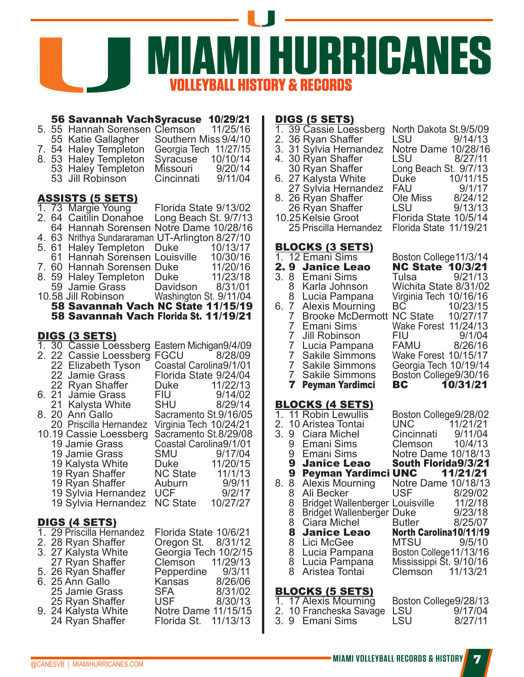

#### **56 Savannah VachSyracuse 10/29/21**<br>55 Hannah Sorensen Clemson 11/25/16 5. 55 Hannah Sorensen Clemson 11/25/16<br>55 Katie Gallagher Southern Miss 9/4/10 55 Katie Gallagher Southern Miss 9/4/10<br>54 Haley Templeton Georgia Tech 11/27/15 7. 54 Haley Templeton Georgia Tech 11/27/15 8. 53 Haley Templeton Syracuse 10/10/14 53 Haley Templeton Missouri 9/20/14<br>53 Jill Robinson Cincinnati 9/11/04 53 Jill Robinson ASSISTS (5 SETS) 1. 73 Margie Young <sup>Florida State 9/13/02<br>2. 64 Caitilin Donahoe Long Beach St. 9/7/13</sup> 2. 64 Caitilin Donahoe 64 Hannah Sorensen Notre Dame 10/28/16 4. 63 Nrithya Sundararaman UT-Arlington 8/27/10 5. 61 Haley Templeton Duke 10/13/17<br>61 Hannah Sorensen Louisville 10/30/16 61 Hannah Sorensen Louisville 10/30/16 7. 60 Hannah Sorensen Duke 11/20/16<br>8. 59 Halev Templeton Duke 11/23/18 8. 59 Haley Templeton Duke 11/23/18<br>59 Jamie Grass Davidson 8/31/01 59 Jamie Grass<br>10.58 Jill Robinson Washington St. 9/11/04 58 Savannah Vach NC State 11/15/19 58 Savannah Vach Florida St. 11/19/21 DIGS (3 SETS) 1. 30 Cassie Loessberg Eastern Michigan9/4/09 2. 22 Cassie Loessberg FGCU 8/28/09<br>22 Elizabeth Tyson Coastal Carolina9/1/01 22 Elizabeth Tyson<br>22 Jamie Grass Florida State 9/24/04<br>Duke 11/22/13 22 Ryan Shaffer Duke 11/22/13 6. 21 Jamie Grass FIU 9/14/02 21 Kalysta White<br>20 Ann Gallo 8. 20 Ann Gallo<br>20 Priscilla Hernandez Virginia Tech 10/24/21 Virginia Tech 10/24/21<br>Sacramento St.8/29/08 10.19 Cassie Loessberg<br>19 Jamie Grass 19 Coastal Carolina9/1/01<br>19/17/04 19 Jamie Grass SMU 9/17/04 19 Kalysta White Duke 11/20/15 19 Ryan Shaffer NC State 11/1/13 19 Ryan Shaffer Auburn 9/9/11<br>19 Sylvia Hernandez UCF 9/2/17 19 Sylvia Hernandez UCF 9/2/17<br>19 Sylvia Hernandez NC State 10/27/27 19 Sylvia Hernandez DIGS (4 SETS) 1. 29 Priscilla Hernandez Florida State 10/6/21 2. 28 Ryan Shaffer Oregon St. 8/31/12<br>3. 27 Kalysta White Georgia Tech 10/2/15 6eorgia Tech 10/2/15<br>Clemson 11/29/13 27 Ryan Shaffer Clemson 11/29/13 5. 26 Ryan Shaffer Pepperdine 9/3/11<br>6. 25 Ann Gallo Kansas 8/26/06 6. 25 Ann Gallo Kansas 8/26/06 25 Jamie Grass SFA 8/31/02 25 Ryan Shaffer USF 8/30/13<br>24 Kalysta White Notre Dame 11/15/15

Florida St. 11/13/13

# 9. 24 Kalysta White<br>24 Ryan Shaffer

# **DIGS (5 SETS)**<br>1 39 Cassie Loe

- 
- 
- 
- 30 Ryan Shaffer<br>30 Ryan Shaffer
- 
- 8. 26 Ryan Shaffer Ole Miss 8/24/12
- 26 Ryan Shaffer<br>10.25 Kelsie Groot

# BLOCKS (3 SETS)

- 1. 12 Emani Sims 2.9 Janice Leao 3. 8 Emani Sims 8 Karla Johnson<br>8 Lucia Pampan 8 Lucia Pampana<br>6. 7 Alexis Mourning 7 Alexis Mourning<br>7 Brooke McDerm 7 Brooke McDermot<br>7 Emani Sims 7 Emani Sims<br>7 Jill Robinson 7 Jill Robinson<br>7 Lucia Pampa
- 1. 39 Cassie Loessberg North Dakota St.9/5/09<br>2. 36 Ryan Shaffer LSU 9/14/13 2. 36 Ryan Shaffer LSU 9/14/13<br>3. 31 Sylvia Hernandez Notre Dame 10/28/16 3. 31 Sylvia Hernandez Notre Dame 10/28/16 Long Beach St. 9/7/13<br>Duke 10/11/15 6. 27 Kalysta White Duke 10/11/15<br>27 Sylvia Hernandez FAU 9/1/17 27 Sylvia Hernandez FAU 9/1/17<br>26 Ryan Shaffer 0le Miss 8/24/12 10.25Kelsie Groot Florida State 10/5/14 25 Priscilla Hernandez Florida State 11/19/21

|   | Boston College11/3/14       |          |
|---|-----------------------------|----------|
|   | <b>NC State 10/3/21</b>     |          |
|   | Tulsa                       | 9/21/13  |
|   | Wichita State 8/31/02       |          |
|   | Virginia Tech 10/16/16      |          |
|   | ВĆ                          | 10/23/15 |
| t | NC State                    | 10/27/17 |
|   | Wake Forest                 | 11/24/13 |
|   | FIU                         | 9/1/04   |
|   | FAMU                        | 8/26/16  |
|   | <b>Wake Forest 10/15/17</b> |          |
|   | Georgia Tech 10/19/14       |          |
|   | Boston College9/30/16       |          |
|   | BC.                         | 10/31/21 |

# BLOCKS (4 SETS)

7 Lucia Pampana<br>7 Sakile Simmons 7 Sakile Simmons<br>7 Sakile Simmons 7 Sakile Simmons<br>7 Sakile Simmons 7 Sakile Simmons<br>**7 Pevman Yardimci Peyman Yardimci** 

|    |   | 1. 11 Robin Lewullis                    | Boston College9/28/02   |  |
|----|---|-----------------------------------------|-------------------------|--|
| 2. |   | 10 Aristea Tontai                       | UNC 11/21/21            |  |
| 3. |   | 9 Ciara Michel                          | Cincinnati 9/11/04      |  |
|    |   | 9 Emani Sims                            | Clemson  10/4/13        |  |
|    |   | 9 Emani Sims                            | Notre Dame 10/18/13     |  |
|    | 9 | Janice Leao                             | South Florida9/3/21     |  |
|    | 9 | Peyman Yardimci UNC 11/21/21            |                         |  |
| 8. | 8 | <b>Alexis Mourning</b>                  | Notre Dame 10/18/13     |  |
|    | 8 | Ali Becker                              | USF 8/29/02             |  |
|    | 8 | Bridget Wallenberger Louisville 11/2/18 |                         |  |
|    | 8 | Bridget Wallenberger Duke 9/23/18       |                         |  |
|    | 8 | Ciara Michel                            | Butler 8/25/07          |  |
|    | 8 | Janice Leao                             | North Carolina10/11/19  |  |
|    | 8 | Lici McGee                              | MTSU 9/5/10             |  |
|    | 8 | Lucia Pampana                           | Boston College 11/13/16 |  |
|    | 8 | Lucia Pampana                           | Mississippi Št. 9/10/16 |  |
|    | 8 | Aristea Tontai                          | Clemson 11/13/21        |  |
|    |   |                                         |                         |  |
|    |   |                                         |                         |  |

# **BLOCKS (5 SETS)**<br>1. 17 Alexis Mourning

|  | 1. 17 Alexis Mourning       |     | Boston College9/28/13 |
|--|-----------------------------|-----|-----------------------|
|  | 2. 10 Francheska Savage LSU |     | 9/17/04               |
|  | 3. 9 Emani Sims             | LSU | 8/27/11               |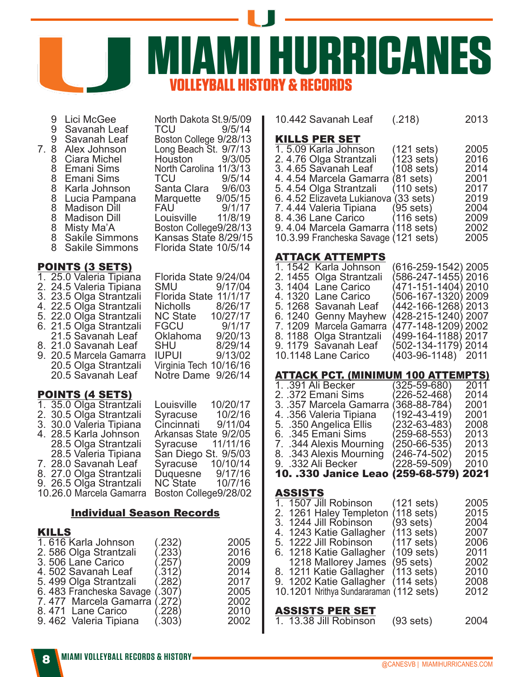

| 7. | 9<br>9<br>$\begin{array}{c} 9 \\ 8 \end{array}$<br>8<br>$\begin{array}{c} 8 \\ 8 \\ 8 \end{array}$<br>88888<br>8 |  | Lici McGee<br>Savanah Leaf<br>Savanah Leaf<br>Alex Johnson<br>Ciara Michel<br>Emani Sims<br>Emani Sims<br>Karla Johnson<br>Lucia Pampana<br><b>Madison Dill</b><br><b>Madison Dill</b><br>Misty Ma'A<br>Sakile Simmons<br><b>Sakile Simmons</b>          |                                                          | TCU<br><b>TCU</b>                       | North Dakota St.9/5/09<br>Boston College 9/28/13<br>Long Beach St. 9/7/13<br>Houston 9/3/05<br>North Carolina 11/3/13<br>9/5/14<br>Santa Clara 9/6/03<br>Marquette 9/05/15<br>FAU 9/1/17<br>Louisville 11/8/19<br>Boston College9/28/13<br>Kansas State 8/29/15<br>Florida State 10/5/14 | 9/5/14                               | 10<br><u>К</u><br>1.<br>2.<br>3.<br>4.<br>5.<br>6.<br>7.<br>8.<br>9.<br>10 |
|----|------------------------------------------------------------------------------------------------------------------|--|----------------------------------------------------------------------------------------------------------------------------------------------------------------------------------------------------------------------------------------------------------|----------------------------------------------------------|-----------------------------------------|------------------------------------------------------------------------------------------------------------------------------------------------------------------------------------------------------------------------------------------------------------------------------------------|--------------------------------------|----------------------------------------------------------------------------|
|    |                                                                                                                  |  | <u>POINTS (3 SETS)</u>                                                                                                                                                                                                                                   |                                                          |                                         |                                                                                                                                                                                                                                                                                          |                                      | <u>А</u><br>1.                                                             |
|    |                                                                                                                  |  | 1. 25.0 Valeria Tipiana<br>2. 24.5 Valeria Tipiana<br>3. 23.5 Olga Strantzali<br>4. 22.5 Olga Strantzali<br>5. 22.0 Olga Strantzali<br>6. 21.5 Olga Strantzali<br>21.5 Savanah Leaf<br>8. 21.0 Savanah Leaf<br>20.5 Olga Strantzali<br>20.5 Savanah Leaf | 9. 20.5 Marcela Gamarra                                  | SMU<br>FGCU                             | Florida State 9/24/04<br>Florida State 11/1/17<br>Nicholls 8/26/17<br>NC State 10/27/17<br>FGCO 9/1/17<br>Oklahoma 9/20/13<br>SHU 8/29/14<br>IUPUI 9/13/02<br>Virginia Tech 10/16/16<br>Notre Dame 9/26/14                                                                               | 9/17/04<br>9/1/17                    | 2.<br>3.<br>4.<br>5.<br>6.<br>7.<br>8.<br>9.<br>10<br><u>Д</u><br>1.       |
|    |                                                                                                                  |  | <u>POINTS (4 SETS)</u>                                                                                                                                                                                                                                   |                                                          |                                         |                                                                                                                                                                                                                                                                                          |                                      | 2.                                                                         |
|    |                                                                                                                  |  | 1. 35.0 Olga Strantzali<br>2. 30.5 Olga Strantzali<br>3. 30.0 Valeria Tipiana<br>4. 28.5 Karla Johnson<br>28.5 Olga Strantzali<br>28.5 Valeria Tipiana<br>7. 28.0 Savanah Leaf<br>8. 27.0 Olga Strantzali<br>9. 26.5 Olga Strantzali                     | 10.26.0 Marcela Gamarra Boston College9/28/02            |                                         | Louisville<br>Syracuse 10/2/16<br>Cincinnati 9/11/04<br>Arkansas State 9/2/05<br>Syracuse 11/11/16<br>San Diego St. 9/5/03<br>Syracuse 10/10/14<br>Duquesne 9/17/16<br>NC State 10/7/16                                                                                                  | 10/20/17                             | 3.<br>4.<br>5.<br>6.<br>7.<br>8.<br>9.<br>1<br><u>Д</u>                    |
|    |                                                                                                                  |  |                                                                                                                                                                                                                                                          | <b>Individual Season Records</b>                         |                                         |                                                                                                                                                                                                                                                                                          |                                      | 1.<br>$\frac{2}{3}$ .                                                      |
|    | <b>KILLS</b>                                                                                                     |  |                                                                                                                                                                                                                                                          |                                                          |                                         |                                                                                                                                                                                                                                                                                          |                                      | 4.                                                                         |
|    |                                                                                                                  |  | 1.616 Karla Johnson<br>2. 586 Olga Strantzali<br>3.506 Lane Carico<br>4.502 Savanah Leaf<br>5.499 Olga Strantzali                                                                                                                                        |                                                          | (232)<br>.233<br>.257<br>.312)<br>.282) |                                                                                                                                                                                                                                                                                          | 2005<br>2016<br>2009<br>2014<br>2017 | 5.<br>6.<br>8.<br>9.                                                       |
|    |                                                                                                                  |  |                                                                                                                                                                                                                                                          | 6. 483 Francheska Savage<br>7.477 Marcela Gamarra (.272) | (.307)                                  |                                                                                                                                                                                                                                                                                          | 2005<br>2002                         | 10                                                                         |
|    |                                                                                                                  |  | 8.471 Lane Carico<br>9.462 Valeria Tipiana                                                                                                                                                                                                               |                                                          | (228)<br>.303)                          |                                                                                                                                                                                                                                                                                          | 2010<br>2002                         |                                                                            |

10.442 Savanah Leaf (.218) 2013

#### **ILLS PER SET**

| 2005                                                                                                                                                                                                                                                                                  |
|---------------------------------------------------------------------------------------------------------------------------------------------------------------------------------------------------------------------------------------------------------------------------------------|
| 2016                                                                                                                                                                                                                                                                                  |
| 2014                                                                                                                                                                                                                                                                                  |
| 2001                                                                                                                                                                                                                                                                                  |
| 2017                                                                                                                                                                                                                                                                                  |
| 2019                                                                                                                                                                                                                                                                                  |
| 2004                                                                                                                                                                                                                                                                                  |
| 2009                                                                                                                                                                                                                                                                                  |
| 2002                                                                                                                                                                                                                                                                                  |
| 2005                                                                                                                                                                                                                                                                                  |
| $(121$ sets)<br>$(123$ sets)<br>$(108 \text{ sets})$<br>4.4.54 Marcela Gamarra (81 sets)<br>$(110 \text{ sets})$<br>6. 4.52 Elizaveta Lukianova (33 sets)<br>$(95 \text{ sets})$<br>$(116 \text{ sets})$<br>9.4.04 Marcela Gamarra (118 sets)<br>10.3.99 Francheska Savage (121 sets) |

#### **TTACK ATTEMPTS**

| . . <i>.</i>            |                     |  |
|-------------------------|---------------------|--|
| 1.1542 Karla Johnson    | (616-259-1542) 2005 |  |
| 2. 1455 Olga Strantzali | (586-247-1455) 2016 |  |
| 3.1404 Lane Carico      | (471-151-1404) 2010 |  |
| 4.1320 Lane Carico      | (506-167-1320) 2009 |  |
| 5. 1268 Savanah Leaf    | (442-166-1268) 2013 |  |
| 6.1240 Genny Mayhew     | (428-215-1240) 2007 |  |
| 7. 1209 Marcela Gamarra | (477-148-1209) 2002 |  |
| 8. 1188 Olga Strantzali | (499-164-1188) 2017 |  |
| 9.1179 Savanah Leaf     | (502-134-1179) 2014 |  |
| 10.1148 Lane Carico     | (403-96-1148) 2011  |  |
|                         |                     |  |

#### TTACK PCT. (MINIMUM 100 ATTEMPTS)

| 1. .391 Ali Becker                     | $(325 - 59 - 680)$ | 2011 |
|----------------------------------------|--------------------|------|
| 2. .372 Emani Sims                     | (226-52-468)       | 2014 |
| 3. .357 Marcela Gamarra                | $(368 - 88 - 784)$ | 2001 |
| 4. .356 Valeria Tipiana                | (192-43-419)       | 2001 |
| 5. .350 Angelica Ellis                 | (232-63-483)       | 2008 |
| 6. .345 Emani Sims                     | $(259 - 68 - 553)$ | 2013 |
| 7. .344 Alexis Mourning                | (250-66-535)       | 2013 |
| 8. .343 Alexis Mourning                | (246-74-502)       | 2015 |
| 9. .332 Ali Becker                     | (228-59-509)       | 2010 |
| 10. .330 Janice Leao (259-68-579) 2021 |                    |      |
|                                        |                    |      |

#### SSISTS

| 1. 1507 Jill Robinson                   | $(121$ sets)         | 2005 |
|-----------------------------------------|----------------------|------|
| 2. 1261 Haley Templeton                 | $(118 \text{ sets})$ | 2015 |
| 3. 1244 Jill Robinson                   | $(93 \text{ sets})$  | 2004 |
| 4. 1243 Katie Gallagher                 | (113 sets)           | 2007 |
| 5. 1222 Jill Robinson                   | $(117 \text{ sets})$ | 2006 |
| 6. 1218 Katie Gallagher                 | $(109 \text{ sets})$ | 2011 |
| 1218 Mallorey James                     | $(95 \text{ sets})$  | 2002 |
| 8. 1211 Katie Gallagher                 | $(113 \text{ sets})$ | 2010 |
| 9. 1202 Katie Gallagher                 | $(114 \text{ sets})$ | 2008 |
| 10.1201 Nrithya Sundararaman (112 sets) |                      | 2012 |
|                                         |                      |      |
| <b>ASSISTS PER SET</b>                  |                      |      |
|                                         |                      |      |

| 1. 13.38 Jill Robinson | $(93 \text{ sets})$ | 2004 |
|------------------------|---------------------|------|
|------------------------|---------------------|------|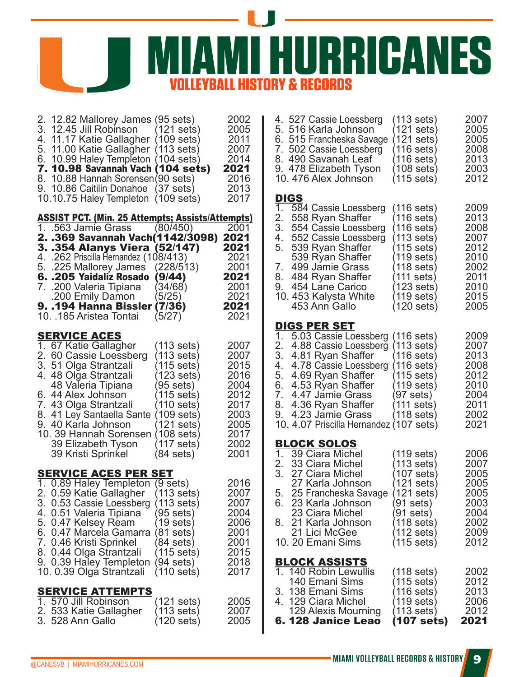**URRICANES** *<b>& RECORDS* 

| 2. 12.82 Mallorey James (95 sets)<br>3. 12.45 Jill Robinson<br>4. 11.17 Katie Gallagher (109 sets)<br>5. 11.00 Katie Gallagher (113 sets)<br>6. 10.99 Haley Templeton (104 sets)<br>7. 10.98 Savannah Vach (104 sets)<br>8. 10.88 Hannah Sorensen (90 sets)<br>9. 10.86 Caitilin Donahoe (37 sets)<br>10.10.75 Haley Templeton (109 sets)                                                          | $(121$ sets)                                                                                                                                                                                     | 2002<br>2005<br>2011<br>2007<br>2014<br>2021<br>2016<br>2013<br>2017                         | 4.5270<br>5.5161<br>6. 515 l<br>7. 502 (<br>8.490<br>9.4781<br>10.476<br><b>DIGS</b><br>$1_{-}$<br>584                                                       |
|----------------------------------------------------------------------------------------------------------------------------------------------------------------------------------------------------------------------------------------------------------------------------------------------------------------------------------------------------------------------------------------------------|--------------------------------------------------------------------------------------------------------------------------------------------------------------------------------------------------|----------------------------------------------------------------------------------------------|--------------------------------------------------------------------------------------------------------------------------------------------------------------|
| <b>ASSIST PCT. (Min. 25 Attempts; Assists/Attempts)</b><br>1. 563 Jamie Grass (80/450)<br>2. .369 Savannah Vach(1142/3098)<br>3. .354 Alanys Viera (52/147)<br>4. .262 Priscilla Hernandez (108/413)<br>5. .225 Mallorey James (228/513)<br>6. .205 Yaidaliz Rosado (9/44)<br>7. .200 Valeria Tipiana<br>200 Emily Damon.<br><b>9. .194 Hanna Bissler (7/36)</b><br>10. .185 Aristea Tontai (5/27) | (34/68)<br>$(5/25)^{2}$                                                                                                                                                                          | 2001<br>2021<br>2021<br>2021<br>2001<br>2021<br>2001<br>2021<br>2021<br>2021                 | 2.<br>558<br>3. 554<br>552<br>4.<br>5.<br>539<br>539<br>7.<br>499<br>8.<br>484<br>9.<br>454<br>10.453<br>453                                                 |
| <b>SERVICE ACES</b><br>1. 67 Katie Gallagher<br>2. 60 Cassie Loessberg<br>3. 51 Olga Strantzali<br>4. 48 Olga Strantzali<br>48 Valeria Tipiana<br>6. 44 Alex Johnson<br>7. 43 Olga Strantzali<br>8. 41 Ley Santaella Sante<br>9. 40 Karla Johnson<br>10. 39 Hannah Sorensen<br>39 Elizabeth Tyson<br>39 Kristi Sprinkel                                                                            | $(113 \text{ sets})$<br>(113 sets)<br>(115 sets)<br>(123 sets)<br>(95 sets)<br>(115 sets)<br>(110 sets)<br>$(109 \text{ sets})$<br>(121 sets)<br>$(108 \text{ sets})$<br>(117 sets)<br>(84 sets) | 2007<br>2007<br>2015<br>2016<br>2004<br>2012<br>2017<br>2003<br>2005<br>2017<br>2002<br>2001 | <b>DIGSF</b><br>1.<br>5.03<br>2.<br>4.88<br>3. 4.81<br>4. 4.78<br>5. 4.69<br>6. 4.53<br>7. 4.47<br>8. 4.36<br>4.23<br>9.<br>10.4.07<br><b>BLOCK</b><br>1.39C |
| <b>SERVICE ACES PER SET</b><br>1. 0.89 Haley Templeton (9 sets)<br>2. 0.59 Katie Gallagher (113 sets)<br>3. 0.53 Cassie Loessberg<br>4. 0.51 Valeria Tipiana<br>5. 0.47 Kelsey Ream<br>6. 0.47 Marcela Gamarra<br>7. 0.46 Kristi Sprinkel<br>8. 0.44 Olga Strantzali<br>9. 0.39 Haley Templeton<br>10.0.39 Olga Strantzali                                                                         | (113 sets)<br>(95 sets)<br>(19 sets)<br>(81 sets)<br>$(84 \text{ sets})$<br>(115 sets)<br>$(94 \text{ sets})$<br>$(110 \text{ sets})$                                                            | 2016<br>2007<br>2007<br>2004<br>2006<br>2001<br>2001<br>2015<br>2018<br>2017                 | 33 C<br>2.<br>3.<br>27 C<br>27 K<br>5.<br>25 F<br>23 K<br>6.<br>23 C<br>21 K<br>8.<br>21 L<br>10.20 E<br><b>BLOCK</b><br>1. 140 l<br>140 l                   |
| <b>SERVICE ATTEMPTS</b><br>1. 570 Jill Robinson<br>533 Katie Gallagher<br>2.<br>3. 528 Ann Gallo                                                                                                                                                                                                                                                                                                   | (121 sets)<br>$(113 \text{ sets})$<br>(120 sets)                                                                                                                                                 | 2005<br>2007<br>2005                                                                         | 138 l<br>3.<br>129 <sub>0</sub><br>4.<br>129/<br>6.128                                                                                                       |

| 4. 527 Cassie Loessberg<br>5. 516 Karla Johnson<br>7. 502 Cassie Loessberg<br>8. 490 Savanah Leaf<br>9. 478 Elizabeth Tyson<br>10.476 Alex Johnson                            | $(113 \text{ sets})$<br>(121 sets)<br>(121 sets)<br>$(116 \text{ sets})$ 2008<br>$(116 \text{ sets})$ 2013<br>$(108 \text{ sets})$ 2003<br>(115 sets)                     | 2007<br>2005<br>2005<br>2012                                                                                                                                                                                                                                                                                                                                                                                |
|-------------------------------------------------------------------------------------------------------------------------------------------------------------------------------|---------------------------------------------------------------------------------------------------------------------------------------------------------------------------|-------------------------------------------------------------------------------------------------------------------------------------------------------------------------------------------------------------------------------------------------------------------------------------------------------------------------------------------------------------------------------------------------------------|
| <u>Digs</u>                                                                                                                                                                   |                                                                                                                                                                           |                                                                                                                                                                                                                                                                                                                                                                                                             |
| 2. 558 Ryan Shaffer<br>3. 554 Cassie Loessberg<br>4. 552 Cassie Loessberg<br>5. 539 Ryan Shaffer                                                                              | (116 sets)<br>(116 sets)<br>(113 sets)<br>(115 sets)                                                                                                                      | 2009<br>2013<br>2008<br>2007<br>2012<br>2010                                                                                                                                                                                                                                                                                                                                                                |
| 7. 499 Jámie Grass<br>8. 484 Ryan Shaffer<br>9. 454 Lane Carico<br>10. 453 Kalysta White<br>453 Ann Gallo                                                                     | <i>∖</i> 118 sets)<br>(111 sets)<br>(123 sets)<br>(119 sets)<br>(120 sets)                                                                                                | 2002<br>2011<br>2010<br>2015<br>2005                                                                                                                                                                                                                                                                                                                                                                        |
| <u>digs per set</u>                                                                                                                                                           |                                                                                                                                                                           |                                                                                                                                                                                                                                                                                                                                                                                                             |
| 2.<br>3.<br>4.81 Ryan Shaffer<br>5. 4.69 Ryan Shaffer<br>4.23 Jamie Grass                                                                                                     | $(116 \text{ sets})$<br>(113 sets)<br>(116 sets)<br>$(116 \text{ sets})$<br>(115 sets)                                                                                    | 2009<br>2007<br>2013<br>2008<br>2012<br>2010<br>2004<br>2011<br>2002<br>2021                                                                                                                                                                                                                                                                                                                                |
|                                                                                                                                                                               |                                                                                                                                                                           |                                                                                                                                                                                                                                                                                                                                                                                                             |
| 2.   33 Ciara Michel<br>3.   27 Ciara Michel<br>27 Karla Johnson<br>5.<br>6. 23 Karla Johnson<br>23 Ciara Michel<br>8. 21 Karla Johnson<br>21 Lici McGee<br>10. 20 Emani Sims | (107 sets)<br>(121 sets)<br>(91 sets)<br>(91 sets)<br>(118 sets)<br>(112 sets)<br>(115 sets)                                                                              | 2006<br>2007<br>2005<br>2005<br>2005<br>2003<br>2004<br>2002<br>2009<br>2012                                                                                                                                                                                                                                                                                                                                |
| <b>BLOCK ASSISTS</b>                                                                                                                                                          |                                                                                                                                                                           |                                                                                                                                                                                                                                                                                                                                                                                                             |
| 140 Emani Sims<br>3. 138 Emani Sims<br>4. 129 Ciara Michel<br>129 Alexis Mourning                                                                                             | (115 sets)<br>(116 sets)<br>(119 sets)<br>(113 sets)                                                                                                                      | 2002<br>2012<br>2013<br>2006<br>2012<br>2021                                                                                                                                                                                                                                                                                                                                                                |
|                                                                                                                                                                               | 584 Cassie Loessberg<br>539 Ryan Shaffer<br>$\overline{1.}$<br>BLOCK SOLOS<br>1.   39 Ciara Michel<br>2.   33 Ciara Michel<br>1. 140 Robin Lewullis<br>6. 128 Janice Leao | 6. 515 Francheska Savage<br>(116 sets)<br>(119 sets)<br>5.03 Cassie Loessberg<br>4.88 Cassie Loessberg<br>4. 4.78 Cassie Loessberg<br>6. 4.53 Ryan Shaffer (119 sets)<br>4.47 Jamie Grass (97 sets)<br>4.36 Ryan Shaffer (111 sets)<br>(118 sets)<br>10. 4.07 Priscilla Hernandez (107 sets)<br>$(119 \text{ sets})$<br>$(113 \text{ sets})$<br>25 Francheska Savage (121 sets)<br>(118 sets)<br>(107 sets) |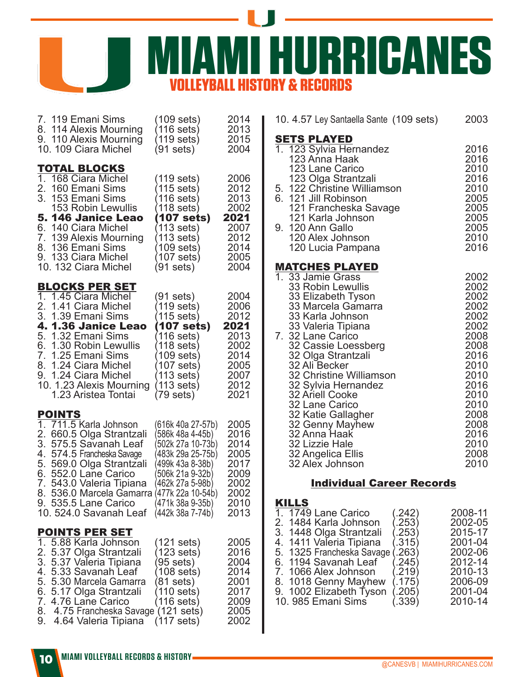

|                  | 7. 119 Emani Sims                                                                                                                                                                                                                          | $(109$ sets)                                                                                                           | 2014                                                                 |
|------------------|--------------------------------------------------------------------------------------------------------------------------------------------------------------------------------------------------------------------------------------------|------------------------------------------------------------------------------------------------------------------------|----------------------------------------------------------------------|
|                  | 8. 114 Alexis Mourning                                                                                                                                                                                                                     | (116 sets)                                                                                                             | 2013                                                                 |
|                  | 9. 110 Alexis Mourning                                                                                                                                                                                                                     | (119 sets) l                                                                                                           | 2015                                                                 |
|                  | 10. 109 Ciara Michel                                                                                                                                                                                                                       | (91 sets)                                                                                                              | 2004                                                                 |
|                  | <b>TOTAL BLOCKS</b>                                                                                                                                                                                                                        | $(119$ sets)                                                                                                           | 2006                                                                 |
|                  | 168 Ciara Michel                                                                                                                                                                                                                           | (115 sets)                                                                                                             | 2012                                                                 |
|                  | 2. 160 Emani Sims<br>3. 153 Emani Sims                                                                                                                                                                                                     | (116 sets)                                                                                                             | 2013                                                                 |
|                  | <b>153 Robin Lewullis</b>                                                                                                                                                                                                                  | (118 sets)                                                                                                             | 2002                                                                 |
|                  | 5.146 Janice Leao                                                                                                                                                                                                                          | (107 sets)                                                                                                             | 2021                                                                 |
|                  | 6. 140 Ciara Michel                                                                                                                                                                                                                        | (113 sets)                                                                                                             | 2007                                                                 |
|                  | 7. 139 Alexis Mourning                                                                                                                                                                                                                     | (113 sets)                                                                                                             | 2012                                                                 |
|                  | 8. 136 Emani Sims                                                                                                                                                                                                                          | (109 sets)                                                                                                             | 2014                                                                 |
|                  | 9. 133 Ciara Michel                                                                                                                                                                                                                        | (107 sets) l                                                                                                           | 2005                                                                 |
|                  | 10. 132 Ciara Michel                                                                                                                                                                                                                       | (91 sets)                                                                                                              | 2004                                                                 |
|                  | <b>BLOCKS PER SET</b>                                                                                                                                                                                                                      |                                                                                                                        |                                                                      |
| 2.               | 1. 1.45 Ciara Michel                                                                                                                                                                                                                       | (91 sets)                                                                                                              | 2004                                                                 |
|                  | 1.41 Ciara Michel                                                                                                                                                                                                                          | (119 sets)                                                                                                             | 2006                                                                 |
|                  | 3. 1.39 Emani Sims                                                                                                                                                                                                                         | (115 sets)                                                                                                             | 2012                                                                 |
|                  | 4. 1.36 Janice Leao                                                                                                                                                                                                                        | (107 sets)                                                                                                             | 2021                                                                 |
|                  | 5. 1.32 Emani Sims                                                                                                                                                                                                                         | (116 sets)                                                                                                             | 2013                                                                 |
|                  | 6. 1.30 Robin Lewullis                                                                                                                                                                                                                     | (118 sets)                                                                                                             | 2002                                                                 |
|                  | 7. 1.25 Emani Sims                                                                                                                                                                                                                         | (109 sets)                                                                                                             | 2014                                                                 |
|                  | 8. 1.24 Ciara Michel                                                                                                                                                                                                                       | (107 sets) l                                                                                                           | 2005                                                                 |
|                  | 9. 1.24 Ciara Michel                                                                                                                                                                                                                       | (113 sets) l                                                                                                           | 2007                                                                 |
|                  | 10. 1.23 Alexis Mourning                                                                                                                                                                                                                   | (113 sets) l                                                                                                           | 2012                                                                 |
|                  | 1.23 Aristea Tontai                                                                                                                                                                                                                        | (79 sets)                                                                                                              | 2021                                                                 |
|                  | <b>POINTS</b><br>1. 711.5 Karla Johnson                                                                                                                                                                                                    | (616k 40a 27-57b)                                                                                                      | 2005                                                                 |
|                  | 2. 660.5 Olga Strantzali                                                                                                                                                                                                                   | 586k 48a 4-45b)                                                                                                        | 2016                                                                 |
|                  | 3. 575.5 Savanah Leaf                                                                                                                                                                                                                      | 502k 27a 10-73b)                                                                                                       | 2014                                                                 |
|                  | 4. 574.5 Francheska Savage                                                                                                                                                                                                                 | (483k 29a 25-75b)                                                                                                      | 2005                                                                 |
|                  | 5. 569.0 Olga Strantzali                                                                                                                                                                                                                   | 499k 43a 8-38b)                                                                                                        | 2017                                                                 |
|                  | 6. 552.0 Lane Carico                                                                                                                                                                                                                       | 506k 21a 9-32b)                                                                                                        | 2009                                                                 |
|                  | 7. 543.0 Valeria Tipiana                                                                                                                                                                                                                   | (462k 27a 5-98b)                                                                                                       | 2002                                                                 |
|                  | 8. 536.0 Marcela Gamarra                                                                                                                                                                                                                   | 477k 22a 10-54b)                                                                                                       | 2002                                                                 |
|                  | 9. 535.5 Lane Carico                                                                                                                                                                                                                       | (471k 38a 9-35b)                                                                                                       | 2010                                                                 |
|                  | 10. 524.0 Savanah Leaf                                                                                                                                                                                                                     | (442k 38a 7-74b)                                                                                                       | 2013                                                                 |
|                  | <u>POINTS PER SET</u>                                                                                                                                                                                                                      |                                                                                                                        |                                                                      |
| $1-$<br>7.<br>9. | 5.88 Karla Johnson<br>2. 5.37 Olga Strantzali<br>3. 5.37 Valeria Tipiana<br>4. 5.33 Savanah Leaf<br>5. 5.30 Marcela Gamarra<br>6. 5.17 Olga Strantzali<br>4.76 Lane Carico<br>8. 4.75 Francheska Savage (121 sets)<br>4.64 Valeria Tipiana | (121 sets)<br>(123 sets)<br>(95 sets)<br>(108 sets)<br>$(81$ sets)<br>(110 sets)<br>(116 sets)<br>$(117 \text{ sets})$ | 2005<br>2016<br>2004<br>2014<br>2001<br>2017<br>2009<br>2005<br>2002 |

| 10. 4.57 Ley Santaella Sante (109 sets)                                                                                                                                                      | 2003                                                                 |
|----------------------------------------------------------------------------------------------------------------------------------------------------------------------------------------------|----------------------------------------------------------------------|
| SETS PLAYED<br>1. 123 Sylvia Hernandez<br>123 Anna Haak                                                                                                                                      | 2016<br>2016                                                         |
| 123 Lane Carico<br>123 Olga Strantzali<br>5. 122 Christine Williamson<br>6. 121 Jill Robinson<br>121 Francheska Savage                                                                       | 2010<br>2016<br>2010<br>2005<br>2005                                 |
| 121 Karla Johnson<br>9. 120 Ann Gallo<br>120 Alex Johnson<br>120 Lucia Pampana                                                                                                               | 2005<br>2005<br>2010<br>2016                                         |
| <b>MATCHES PLAYED</b>                                                                                                                                                                        |                                                                      |
| 1. 33 Jamie Grass<br>33 Robin Lewullis<br>33 Elizabeth Tyson<br>33 Marcela Gamarra<br>33 Karla Johnson<br>33 Valeria Tipiana                                                                 | 2002<br>2002<br>2002<br>2002<br>2002<br>2002                         |
| 7. 32 Lane Carico<br>32 Cassie Loessberg<br>32 Olga Strantzali<br>32 Ali Becker<br>32 Christine Williamson<br>32 Sylvia Hernandez<br>32 Ariell Cooke<br>32 Lane Carico<br>32 Katie Gallagher | 2008<br>2008<br>2016<br>2010<br>2010<br>2016<br>2010<br>2010<br>2008 |
| 32 Genny Mayhew<br>32 Anna Haak<br>32 Lizzie Hale<br>32 Angelica Ellis<br>32 Alex Johnson                                                                                                    | 2008<br>2016<br>2010<br>2008<br>2010                                 |

# **Individual Career Records**

# KILLS

| 1. 1749 Lane Carico       | (.242) | 2008-11 |
|---------------------------|--------|---------|
| 2. 1484 Karla Johnson     | (.253) | 2002-05 |
| 3. 1448 Olga Strantzali   | (.253) | 2015-17 |
| 4. 1411 Valeria Tipiana   | (.315) | 2001-04 |
| 5. 1325 Francheska Savage | (263)  | 2002-06 |
| 6. 1194 Savanah Leaf      | (245)  | 2012-14 |
| 7. 1066 Alex Johnson      | (.219) | 2010-13 |
| 8. 1018 Genny Mayhew      | (.175) | 2006-09 |
| 9. 1002 Elizabeth Tyson   | (.205) | 2001-04 |
| 10. 985 Emani Sims        | (.339) | 2010-14 |
|                           |        |         |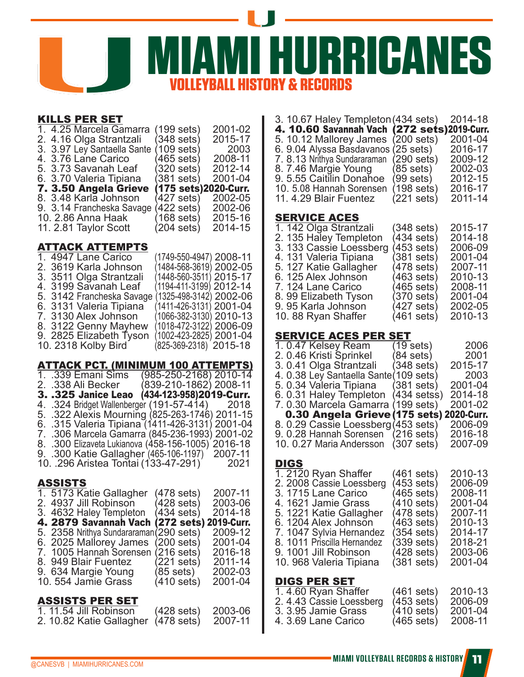

# KILLS PER SET

| 1. 4.25 Marcela Gamarra                        | (199 sets) | 2001-02                         |
|------------------------------------------------|------------|---------------------------------|
| 2. 4.16 Olga Strantzali                        | (348 sets) | 2015-17                         |
| 3. 3.97 Ley Santaella Sante                    | (109 sets) | -2003                           |
| 4. 3.76 Lane Carico                            | (465 sets) | 2008-11                         |
| 5. 3.73 Savanah Leaf                           | (320 sets) | 2012-14                         |
| 6. 3.70 Valeria Tipiana                        | (381 sets) | 2001-04                         |
|                                                |            |                                 |
|                                                |            |                                 |
| 7. 3.50 Angela Grieve<br>8. 3.48 Karla Johnson | (427 sets) | (175 sets)2020-Curr.<br>2002-05 |
| 9. 3.14 Francheska Savage                      | 422 sets)  | 2002-06                         |
| 10. 2.86 Anna Haak                             | (168 sets) | 2015-16                         |
| 11. 2.81 Taylor Scott                          | (204 sets) | 2014-15                         |

#### ATTACK ATTEMPTS

| 1. 4947 Lane Carico       | (1749-550-4947) 2008-11 |  |
|---------------------------|-------------------------|--|
| 2. 3619 Karla Johnson     | (1484-568-3619) 2002-05 |  |
| 3. 3511 Olga Strantzali   | (1448-560-3511) 2015-17 |  |
| 4. 3199 Savanah Leaf      | (1194-411-3199) 2012-14 |  |
| 5. 3142 Francheska Savage | (1325-498-3142) 2002-06 |  |
| 6. 3131 Valeria Tipiana   | (1411-426-3131) 2001-04 |  |
| 7. 3130 Alex Johnson      | (1066-382-3130) 2010-13 |  |
| 8. 3122 Genny Mayhew      | (1018-472-3122) 2006-09 |  |
| 9. 2825 Elizabeth Tyson   | (1002-423-2825) 2001-04 |  |
| 10. 2318 Kolby Bird       | (825-369-2318) 2015-18  |  |
|                           |                         |  |

#### ATTACK PCT. (MINIMUM 100 ATTEMPTS)

|         | <u> 11 mart : Un (minimium 100 m 1 mm 13</u>       |                         |                      |                        |
|---------|----------------------------------------------------|-------------------------|----------------------|------------------------|
|         | 1. .339 Emani Sims                                 |                         |                      | (985-250-2168) 2010-14 |
|         | 2.  .338 Ali Becker                                | (839-210-1862) 2008-11  |                      |                        |
|         | 3. .325 Janice Leao                                | (434-123-958)2019-Curr. |                      |                        |
|         | 4. .324 Bridget Wallenberger (191-57-414) 2018     |                         |                      |                        |
|         | 5. .322 Alexis Mourning (825-263-1746) 2011-15     |                         |                      |                        |
|         | 6. .315 Valeria Tipiana (1411-426-3131) 2001-04    |                         |                      |                        |
|         | 7. .306 Marcela Gamarra (845-236-1993) 2001-02     |                         |                      |                        |
|         | 8. .300 Elizaveta Lukianova (458-156-1005) 2016-18 |                         |                      |                        |
|         | 9. .300 Katie Gallagher (465-106-1197)             |                         |                      | 2007-11                |
|         | 10. .296 Aristea Tontai (133-47-291)               |                         |                      | 2021                   |
|         |                                                    |                         |                      |                        |
| ASSISTS |                                                    |                         |                      |                        |
|         | 1. 5173 Katie Gallagher                            |                         | (478 sets)           | 2007-11                |
|         | 2. 4937 Jill Robinson                              |                         | (428 sets)           | 2003-06                |
|         | 3. 4632 Haley Templeton                            |                         | (434 sets)           | 2014-18                |
|         | 4. 2879 Savannah Vach                              |                         |                      | (272 sets) 2019-Curr.  |
|         | 5. 2358 Nrithya Sundararaman (290 sets)            |                         |                      | 2009-12                |
|         | 6. 2025 Mallorey James                             |                         | $(200 \text{ sets})$ | 2001-04                |
|         | 7. 1005 Hannah Sorensen (216 sets)                 |                         |                      | 2016-18                |
|         | $0.40$ DIstribution $-$                            |                         |                      | . . <i>. .</i> .       |

# 8. 949 Blair Fuentez (221 sets) 2011-14

9. 634 Margie Young (85 sets) 2002-03<br>10. 554 Jamie Grass (410 sets) 2001-04 10. 554 Jamie Grass

# ASSISTS PER SET

| 1.11.54 Jill Robinson               | $(428$ sets) | 2003-06 |
|-------------------------------------|--------------|---------|
| 2. 10.82 Katie Gallagher (478 sets) |              | 2007-11 |

| 3. 10.67 Haley Templeton (434 sets)<br>4. 10.60 Savannah Vach (272 sets)2019-Curr.<br>5. 10.12 Mallorey James<br>6. 9.04 Alyssa Basdavanos (25 sets)<br>7.8.13 Nrithya Sundararaman<br>8.7.46 Margie Young<br>9.5.55 Caitilin Donahoe<br>10. 5.08 Hannah Sorensen<br>11. 4.29 Blair Fuentez | (200 sets)<br>(290 sets)<br>(85 sets)<br>99 sets)<br>(198 sets)<br>$(221$ sets)                                                                  | 2014-18<br>2001-04<br>2016-17<br>2009-12<br>2002-03<br>2012-15<br>2016-17<br>2011-14                       |
|---------------------------------------------------------------------------------------------------------------------------------------------------------------------------------------------------------------------------------------------------------------------------------------------|--------------------------------------------------------------------------------------------------------------------------------------------------|------------------------------------------------------------------------------------------------------------|
| <b>SERVICE ACES</b><br>1. 142 Olga Strantzali<br>2. 135 Haley Templeton<br>3. 133 Cassie Loessberg<br>4.131 Valeria Tipiana<br>5. 127 Katie Gallagher<br>6. 125 Alex Johnson<br>7. 124 Lane Carico<br>8.99 Elizabeth Tyson<br>9.95 Karla Johnson<br>10.88 Ryan Shaffer                      | (348 sets)<br>(434 sets)<br>$(453 \text{ sets})$<br>(381 sets)<br>(478 sets)<br>(463 sets)<br>465 sets)<br>(370 sets)<br>(427 sets)<br>461 sets) | 2015-17<br>2014-18<br>2006-09<br>2001-04<br>2007-11<br>2010-13<br>2008-11<br>2001-04<br>2002-05<br>2010-13 |

# SERVICE ACES PER SET

10. 88 Ryan Shaffer

| 1.0.47 Kelsey Ream                       | (19 sets)            | 2006    |
|------------------------------------------|----------------------|---------|
| 2.0.46 Kristi Sprinkel                   | $(84 \text{ sets})$  | 2001    |
| 3.0.41 Olga Strantzali                   | $(348 \text{ sets})$ | 2015-17 |
| 4. 0.38 Ley Santaella Sante (109 sets)   |                      | 2003    |
| 5. 0.34 Valeria Tipiana                  | $(381 \text{ sets})$ | 2001-04 |
| 6.0.31 Haley Templeton (434 setss)       |                      | 2014-18 |
| 7.0.30 Marcela Gamarra (199 sets)        |                      | 2001-02 |
| 0.30 Angela Grieve (175 sets) 2020-Curr. |                      |         |
| 8.0.29 Cassie Loessberg (453 sets)       |                      | 2006-09 |
| 9. 0.28 Hannah Sorensen (216 sets)       |                      | 2016-18 |
| 10. 0.27 Maria Andersson                 | $(307 \text{ sets})$ | 2007-09 |
|                                          |                      |         |

# DIGS

| 1. 2120 Ryan Shaffer                       | (461 sets)           | 2010-13 |
|--------------------------------------------|----------------------|---------|
| 2. 2008 Cassie Loessberg                   | $(453 \text{ sets})$ | 2006-09 |
| 3. 1715 Lane Carico                        | (465 sets)           | 2008-11 |
| 4. 1621 Jamie Grass                        | (410 sets)           | 2001-04 |
| 5. 1221 Katie Gallagher                    | $(478$ sets)         | 2007-11 |
| 6. 1204 Alex Johnson                       | (463 sets)           | 2010-13 |
| 7. 1047 Sylvia Hernandez                   | $(354 \text{ sets})$ | 2014-17 |
| 8. 1011 Priscilla Hernandez                | $(339$ sets)         | 2018-21 |
| 9. 1001 Jill Robinson                      | (428 sets)           | 2003-06 |
| 10. 968 Valeria Tipiana                    | $(381$ sets)         | 2001-04 |
| <b>DIGS PER SET</b><br>1.4.60 Ryan Shaffer | $(461 \text{ sets})$ | 2010-13 |

| 1.4.60 Ryan Shaffer      | (461 sets)           | 2010-13 |
|--------------------------|----------------------|---------|
| 2. 4.43 Cassie Loessberg | $(453 \text{ sets})$ | 2006-09 |
| 3. 3.95 Jamie Grass      | $(410 \text{ sets})$ | 2001-04 |
| 4. 3.69 Lane Carico      | $(465 \text{ sets})$ | 2008-11 |
|                          |                      |         |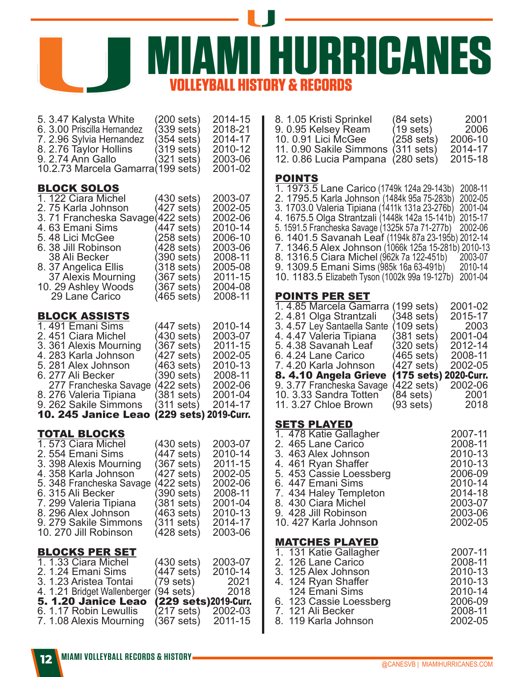**MURRICANES** *<b>& RECORDS* 

| 5. 3.47 Kalysta White<br>6. 3.00 Priscilla Hernandez<br>7. 2.96 Sylvia Hernandez<br>8. 2.76 Taylor Hollins<br>9. 2.74 Ann Gallo<br>10.2.73 Marcela Gamarra (199 sets)                                                                                                     | $(200$ sets)<br>$339$ sets)<br>354 sets)<br>319 sets)<br>$(321$ sets)                                                                             | 2014-15<br>2018-21<br>2014-17<br>2010-12<br>2003-06<br>2001-02                                                        |  |
|---------------------------------------------------------------------------------------------------------------------------------------------------------------------------------------------------------------------------------------------------------------------------|---------------------------------------------------------------------------------------------------------------------------------------------------|-----------------------------------------------------------------------------------------------------------------------|--|
| <b>BLOCK SOLOS</b><br>1. 122 Ciara Michel<br>2.75 Karla Johnson<br>3. 71 Francheska Savage(422 sets)<br>4.63 Emani Sims<br>5.48 Lici McGee<br>6. 38 Jill Robinson<br>38 Ali Becker<br>8. 37 Angelica Ellis<br>37 Alexis Mourning<br>10. 29 Ashley Woods<br>29 Lane Carico | (430 sets)<br>(427 sets)<br>447 sets)<br>258 sets)<br>(428 sets)<br>390 sets)<br>318 sets)<br>(367 sets)<br>(367 sets)<br>(465 sets)              | 2003-07<br>2002-05<br>2002-06<br>2010-14<br>2006-10<br>2003-06<br>2008-11<br>2005-08<br>2011-15<br>2004-08<br>2008-11 |  |
| <b>BLOCK ASSISTS</b><br>1.491 Emani Sims<br>2.451 Ciara Michel<br>3. 361 Alexis Mourning<br>4. 283 Karla Johnson<br>5. 281 Alex Johnson<br>6. 277 Ali Becker<br>277 Francheska Savage<br>8. 276 Valeria Tipiana<br>9. 262 Sakile Simmons<br>10. 245 Janice Leao           | (447 sets)<br>(430 sets)<br>$367$ sets)<br>427 sets)<br>463 sets)<br>390 sets)<br>(422 sets)<br>(381 sets)<br>(311 sets)<br>(229 sets) 2019-Curr. | 2010-14<br>2003-07<br>2011-15<br>2002-05<br>2010-13<br>2008-11<br>2002-06<br>2001-04<br>2014-17                       |  |
| <b>TOTAL BLOCKS</b><br>1.573 Ciara Michel<br>2.554 Emani Sims<br>3. 398 Alexis Mourning<br>4. 358 Karla Johnson<br>5. 348 Francheska Savage<br>6. 315 Ali Becker<br>7. 299 Valeria Tipiana<br>8. 296 Alex Johnson<br>9. 279 Sakile Simmons<br>10. 270 Jill Robinson       | (430 sets)<br>(447 sets)<br>$367$ sets)<br>(427 sets)<br>(422 sets)<br>$390$ sets)<br>(381 sets)<br>(463 sets)<br>(311 sets)<br>(428 sets)        | 2003-07<br>2010-14<br>2011-15<br>2002-05<br>2002-06<br>2008-11<br>2001-04<br>2010-13<br>2014-17<br>2003-06            |  |
| <b>BLOCKS PER SET</b><br>1.1.33 Ciara Michel<br>2. 1.24 Emani Sims<br>3. 1.23 Aristea Tontai<br>4. 1.21 Bridget Wallenberger<br>5. 1.20 Janice Leao<br>6. 1.17 Robin Lewullis<br>7. 1.08 Alexis Mourning                                                                  | (430 sets)<br>(447 sets)<br>(79 sets)<br>(94 sets)<br>(229 sets)2019-Curr.<br>(217 sets)<br>(367 sets)                                            | 2003-07<br>2010-14<br>2021<br>2018<br>2002-03<br>2011-15                                                              |  |

| 8. 1.05 Kristi Sprinkel<br>9.0.95 Kelsey Ream<br>10. 0.91 Lici McGee<br>11.0.90 Sakile Simmons<br>12.0.86 Lucia Pampana                                                                                                                                                                                                                                                                                                                                                                                                                       | $(84$ sets)<br>(19 sets)<br>258 sets)<br>(311 sets)<br>$(280 \text{ sets})$                                                                                    | 2001<br>2006<br>2006-10<br>2014-17<br>2015-18                                                                   |
|-----------------------------------------------------------------------------------------------------------------------------------------------------------------------------------------------------------------------------------------------------------------------------------------------------------------------------------------------------------------------------------------------------------------------------------------------------------------------------------------------------------------------------------------------|----------------------------------------------------------------------------------------------------------------------------------------------------------------|-----------------------------------------------------------------------------------------------------------------|
| <b>POINTS</b><br>1. 1973.5 Lane Carico (1749k 124a 29-143b)<br>2. 1795.5 Karla Johnson (1484k 95a 75-283b)<br>3. 1703.0 Valeria Tipiana (1411k 131a 23-276b)<br>4. 1675.5 Olga Strantzali (1448k 142a 15-141b)<br>5. 1591.5 Francheska Savage (1325k 57a 71-277b)<br>6. 1401.5 Savanah Leaf (1194k 87a 23-195b) 2012-14<br>7. 1346.5 Alex Johnson (1066k 125a 15-281b) 2010-13<br>8. 1316.5 Ciara Michel (962k 7a 122-451b) 2003-07<br>9. 1309.5 Emani Sims (985k 16a 63-491b) $\acute{}\,$<br>10. 1183.5 Elizabeth Tyson (1002k 99a 19-127b) |                                                                                                                                                                | 2008-11<br>2002-05<br>2001-04<br>2015-17<br>2002-06<br>2010-14<br>2001-04                                       |
| <b>POINTS PER SET</b><br>1.4.85 Marcela Gamarra<br>2.4.81 Olga Strantzali<br>3. 4.57 Ley Santaella Sante<br>4.447 Valeria Tipiana<br>5. 4.38 Savanah Leaf<br>6.4.24 Lane Carico<br>7.4.20 Karla Johnson<br>8. 4.10 Angela Grieve<br>9. 3.77 Francheska Savage<br>10. 3.33 Sandra Totten<br>11. 3.27 Chloe Brown                                                                                                                                                                                                                               | (199 sets)<br>(348 sets)<br>(109 sets)<br>(381 sets)<br>$320$ sets)<br>(465 sets)<br>$(427 \text{ sets})$<br>(175 sets)<br>422 sets)<br>(84 sets)<br>(93 sets) | 2001-02<br>2015-17<br>2003<br>2001-04<br>2012-14<br>2008-11<br>2002-05<br>2020-Curr.<br>2002-06<br>2001<br>2018 |
| SETS PLAYED<br>1.<br>478 Katie Gallagher<br>2. 465 Lane Carico<br>3. 463 Alex Johnson<br>4. 461 Ryan Shaffer<br>5. 453 Cassie Loessberg<br>6. 447 Emani Sims<br>7.<br>434 Haley Templeton<br>8. 430 Ciará Michel<br>9. 428 Jill Robinson<br>10. 427 Karla Johnson                                                                                                                                                                                                                                                                             |                                                                                                                                                                | 2007-11<br>2008-11<br>2010-13<br>2010-13<br>2006-09<br>2010-14<br>2014-18<br>2003-07<br>2003-06<br>2002-05      |
| <b>MATCHES PLAYED</b><br>1. 131 Katie Gallagher<br>2. 126 Lane Carico<br>3. 125 <u>A</u> lex Johnson<br>4. 124 Ryan Shaffer<br>124 Emani Sims<br>6. 123 Cassie Loessberg                                                                                                                                                                                                                                                                                                                                                                      |                                                                                                                                                                | 2007-11<br>2008-11<br>2010-13<br>2010-13<br>2010-14<br>2006-09                                                  |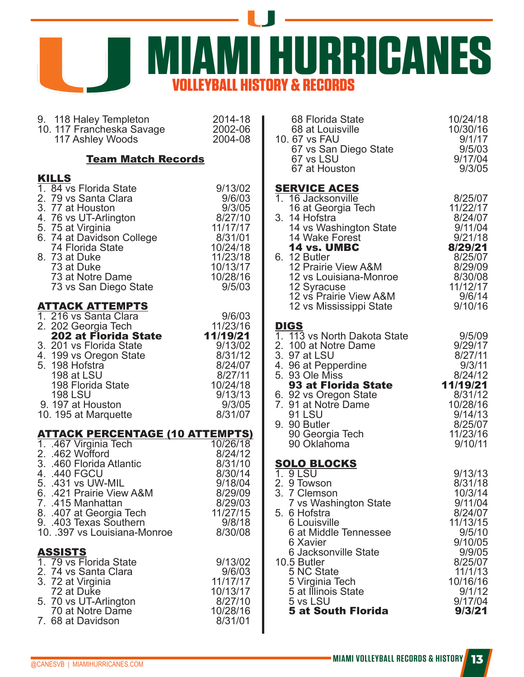

| 9. 118 Haley Templeton 2014-18<br>10. 117 Francheska Savage 2002-06<br>2004-08                                                                                                                                                                                                                                             |                                                                                                |  |  |  |  |
|----------------------------------------------------------------------------------------------------------------------------------------------------------------------------------------------------------------------------------------------------------------------------------------------------------------------------|------------------------------------------------------------------------------------------------|--|--|--|--|
| <b>Team Match Records</b>                                                                                                                                                                                                                                                                                                  |                                                                                                |  |  |  |  |
| <b>KILLS</b>                                                                                                                                                                                                                                                                                                               | 9/13/02                                                                                        |  |  |  |  |
| 1. 84 vs Florida State                                                                                                                                                                                                                                                                                                     | 9/6/03                                                                                         |  |  |  |  |
| 2. 79 vs Santa Clara<br>3. 77 at Houston                                                                                                                                                                                                                                                                                   | 9/3/05                                                                                         |  |  |  |  |
| 4. 76 vs UT-Arlington                                                                                                                                                                                                                                                                                                      | 8/27/10                                                                                        |  |  |  |  |
| 5. 75 at Virginia                                                                                                                                                                                                                                                                                                          | 11/17/17                                                                                       |  |  |  |  |
| 6. 74 at Davidson College                                                                                                                                                                                                                                                                                                  | 8/31/01                                                                                        |  |  |  |  |
| 74 Florida State                                                                                                                                                                                                                                                                                                           | 10/24/18                                                                                       |  |  |  |  |
| 8. 73 at Duke                                                                                                                                                                                                                                                                                                              | 11/23/18                                                                                       |  |  |  |  |
| 73 at Duke                                                                                                                                                                                                                                                                                                                 | 10/13/17                                                                                       |  |  |  |  |
| 73 at Notre Dame                                                                                                                                                                                                                                                                                                           | 10/28/16                                                                                       |  |  |  |  |
| 73 vs San Diego State                                                                                                                                                                                                                                                                                                      | 9/5/03                                                                                         |  |  |  |  |
| <b>ATTACK ATTEMPTS</b><br>1. 216 vs Santa Clara<br>216 vs Santa Clara<br>202 Georgia Tech<br>202 at Florida State 11/19/21<br>2. 202 Georgia Tech<br>3. 201 vs Florida State<br>4. 199 vs Oregon State<br>5. 198 Hofstra<br>198 at LSU<br>198 Florida State<br><b>198 LSU</b><br>9. 197 at Houston<br>10. 195 at Marquette | 9/6/03<br>9/13/02<br>8/31/12<br>8/24/07<br>8/27/11<br>10/24/18<br>9/13/13<br>9/3/05<br>8/31/07 |  |  |  |  |
| <b>ATTACK PERCENTAGE (10 ATTEMPTS)</b>                                                                                                                                                                                                                                                                                     | 10/26/18                                                                                       |  |  |  |  |
| 1. .467 Virginia Tech                                                                                                                                                                                                                                                                                                      | 8/24/12                                                                                        |  |  |  |  |
| 2. .462 Wofford<br>3. .460 Florida Atlantic                                                                                                                                                                                                                                                                                | 8/31/10                                                                                        |  |  |  |  |
| 4. .440 FGCU                                                                                                                                                                                                                                                                                                               | 8/30/14                                                                                        |  |  |  |  |
| 5. .431 vs UW-MIL                                                                                                                                                                                                                                                                                                          | 9/18/04                                                                                        |  |  |  |  |
| 6. 421 Prairie View A&M                                                                                                                                                                                                                                                                                                    | 8/29/09                                                                                        |  |  |  |  |
| 7. 415 Manhattan                                                                                                                                                                                                                                                                                                           | 8/29/03                                                                                        |  |  |  |  |
| 8. 407 at Georgia Tech                                                                                                                                                                                                                                                                                                     | 11/27/15                                                                                       |  |  |  |  |
| 9. .403 Texas Southern                                                                                                                                                                                                                                                                                                     | 9/8/18                                                                                         |  |  |  |  |
| 10. .397 vs Louisiana-Monroe                                                                                                                                                                                                                                                                                               | 8/30/08                                                                                        |  |  |  |  |
| <b>ASSISTS</b>                                                                                                                                                                                                                                                                                                             | 9/13/02                                                                                        |  |  |  |  |
| 1. 79 vs Florida State                                                                                                                                                                                                                                                                                                     | 9/6/03                                                                                         |  |  |  |  |
| 2. 74 vs Santa Clara<br>3. 72 at Virginia                                                                                                                                                                                                                                                                                  | 11/17/17                                                                                       |  |  |  |  |
| 72 at Duke                                                                                                                                                                                                                                                                                                                 | 10/13/17                                                                                       |  |  |  |  |
| 5. 70 vs UT-Arlington                                                                                                                                                                                                                                                                                                      | 8/27/10                                                                                        |  |  |  |  |
| 70 at Notre Dame                                                                                                                                                                                                                                                                                                           | 10/28/16                                                                                       |  |  |  |  |
| 7. 68 at Davidson                                                                                                                                                                                                                                                                                                          | 8/31/01                                                                                        |  |  |  |  |

| 68 Florida State<br>68 at Louisville<br>10.67 vs FAU<br>67 vs San Diego State<br>67 vs LSU<br>67 at Houston                                                                                                                                                                                                     | 10/24/18<br>10/30/16<br>9/1/17<br>9/5/03<br>9/17/04<br>9/3/05                                                                                                   |
|-----------------------------------------------------------------------------------------------------------------------------------------------------------------------------------------------------------------------------------------------------------------------------------------------------------------|-----------------------------------------------------------------------------------------------------------------------------------------------------------------|
| <b>SERVICE ACES</b><br>1. 16 Jacksonville<br>16 at Georgia Tech<br>3. 14 Hofstra<br>14 vs Washington State<br>14 Wake Forest<br>14 vs. UMBC<br>6. 12 Butler<br>12 Prairie View A&M<br>12 vs Louisiana-Monroe<br>12 Syracuse<br>12 vs Prairie View A&M                                                           | 8/25/07<br>11/22/17<br>8/24/07<br>9/11/04<br>9/21/18<br>8/29/21<br>8/25/07<br>8/29/09<br>8/30/08<br>11/12/17<br>9/6/14                                          |
| 12 vs Mississippi State                                                                                                                                                                                                                                                                                         | 9/10/16                                                                                                                                                         |
| <b>DIGS</b><br>1. 113 vs North Dakota State<br>2. 100 at Notre Dame<br>3. 97 at LSU<br>4. 96 at Pepperdine<br>5. 93 Ole Miss<br>93 at Florida State<br>6. 92 vs Oregon State<br>7. 91 at Notre Dame<br>91 LSU<br>9. 90 Butler<br>90 Georgia Tech<br>90 Oklahoma                                                 | 9/5/09<br>9/29/17<br>8/27/11<br>9/3/11<br>8/24/12<br>11/19/21<br>8/31/12<br>10/28/16<br>9/14/13<br>8/25/07<br>11/23/16<br>9/10/11                               |
| SOLO BLOCKS<br>1. 9 LSU<br>2. 9 Towson<br>3. 7 Clemso<br>7 Clemson<br>7 vs Washington State<br>5. 6 Hofstra<br><b>6 Louisville</b><br>6 at Middle Tennessee<br>6 Xavier<br>6 Jacksonville State<br>10.5 Butler<br>5 NC State<br>5 Virginia Tech<br>5 at Illinois State<br>5 vs LSU<br><b>5 at South Florida</b> | 9/13/13<br>8/31/18<br>10/3/14<br>9/11/04<br>8/24/07<br>11/13/15<br>9/5/10<br>9/10/05<br>9/9/05<br>8/25/07<br>11/1/13<br>10/16/16<br>9/1/12<br>9/17/04<br>9/3/21 |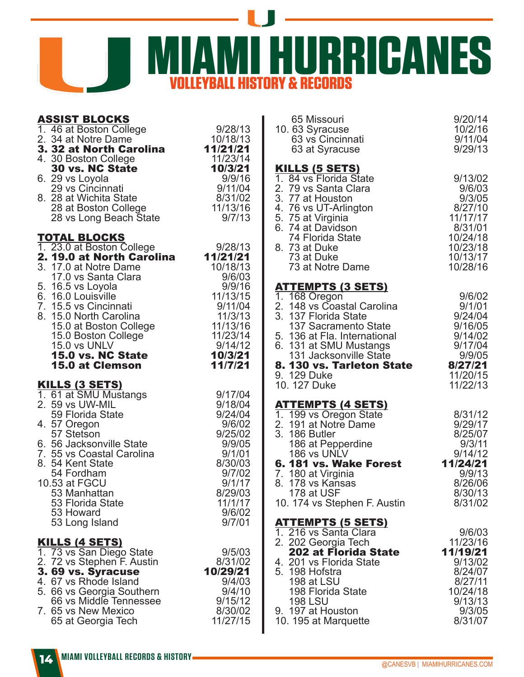

| <b>ASSIST BLOCKS</b>                                                                |                                          |
|-------------------------------------------------------------------------------------|------------------------------------------|
| 1. 46 at Boston College                                                             | 9/28/13                                  |
| 2. 34 at Notre Dame<br><b>3. 32 at Notre Dame</b><br><b>3. 32 at North Carolina</b> | 10/18/13                                 |
|                                                                                     | 11/21/21                                 |
| 4. 30 Boston College                                                                | 11/23/14                                 |
| <b>30 vs. NC State</b>                                                              | 10/3/21                                  |
| 6. 29 vs Loyola                                                                     | 9/9/16<br>9/11/04<br>8/31/02<br>11/13/16 |
| 29 vs Cincinnati                                                                    |                                          |
| 8. 28 at Wichita State                                                              |                                          |
| 28 at Boston College                                                                |                                          |
| 28 vs Long Beach State                                                              | 9/7/13                                   |
|                                                                                     |                                          |
| <b>TOTAL BLOCKS</b>                                                                 |                                          |
| 1. 23.0 at Boston College                                                           | 9/28/13                                  |
| 2. 19.0 at North Carolina                                                           | 11/21/21                                 |
| 3. 17.0 at Notre Dame                                                               | 10/18/13                                 |
| 17.0 vs Santa Clara                                                                 | 9/6/03                                   |
| 5. 16.5 vs Loyola                                                                   | 9/9/16                                   |
| 6. 16.0 Louisville                                                                  | 11/13/15                                 |
| 7. 15.5 vs Cincinnati                                                               | 9/11/04                                  |
| 8. 15.0 North Carolina                                                              | 11/3/13                                  |
| 15.0 at Boston College                                                              | 11/13/16                                 |
| 15.0 Boston College                                                                 | 11/23/14                                 |
| 15.0 vs UNLV                                                                        | 9/14/12                                  |
| 15.0 vs. NC State                                                                   | 10/3/21                                  |
| <b>15.0 at Clemson</b>                                                              | 11/7/21                                  |
|                                                                                     |                                          |
|                                                                                     |                                          |
| <u>KILLS (3 SETS)</u>                                                               |                                          |
| 1. 61 at SMU Mustangs                                                               | 9/17/04                                  |
| 2. 59 vs UW-MIL                                                                     | 9/18/04                                  |
| 59 Florida State                                                                    | 9/24/04                                  |
| 4. 57 Oregon                                                                        | 9/6/02                                   |
| 57 Stetson                                                                          | 9/25/02                                  |
| 6. 56 Jacksonville State                                                            | 9/9/05                                   |
| 7. 55 vs Coastal Carolina                                                           | 9/1/01                                   |
| 8. 54 Kent State                                                                    | 8/30/03                                  |
| 54 Fordham                                                                          | 9/7/02                                   |
| 10.53 at FGCU                                                                       | 9/1/17                                   |
| 53 Manhattan                                                                        | 8/29/03                                  |
| 53 Florida State                                                                    | 11/1/17                                  |
| 53 Howard                                                                           | 9/6/02                                   |
| 53 Long Island                                                                      | 9/7/01                                   |
|                                                                                     |                                          |
| <u>KILLS (4 SETS)</u>                                                               |                                          |
| 1. 73 vs San Diego State                                                            | 9/5/03                                   |
| 2. 72 vs Stephen F. Austin                                                          | 8/31/02<br>10/29/21                      |
| 3.69 vs. Syracuse                                                                   | 9/4/03                                   |
| 4. 67 vs Rhode Island                                                               | 9/4/10                                   |
| 5. 66 vs Georgia Southern                                                           |                                          |
| 66 vs Middle Tennessee<br>7. 65 vs New Mexico                                       | 9/15/12<br>8/30/02                       |

| 9/20/14<br>10/2/16<br>9/11/04<br>9/29/13                                                                      |
|---------------------------------------------------------------------------------------------------------------|
| 9/13/02<br>9/6/03<br>9/3/05<br>8/27/10<br>11/17/17<br>8/31/01<br>10/24/18<br>10/23/18<br>10/13/17<br>10/28/16 |
|                                                                                                               |
| 9/6/02<br>9/1/01<br>9/24/04<br>9/16/05                                                                        |
| 9/14/02<br>9/17/04<br>9/9/05                                                                                  |
| 8. 130 vs. Tarleton State<br>8/27/21<br>11/20/15<br>11/22/13                                                  |
|                                                                                                               |
| 8/31/12<br>9/29/17                                                                                            |
| 8/25/07<br>9/3/11                                                                                             |
| 9/14/12                                                                                                       |
| 11/24/21<br>9/9/13                                                                                            |
| 8/26/06                                                                                                       |
| 8/30/13<br>8/31/02                                                                                            |
|                                                                                                               |
| 9/6/03<br>11/23/16                                                                                            |
| 11/19/21                                                                                                      |
| 9/13/02<br>8/24/07                                                                                            |
| 8/27/11                                                                                                       |
| 10/24/18                                                                                                      |
| 9/13/13                                                                                                       |
|                                                                                                               |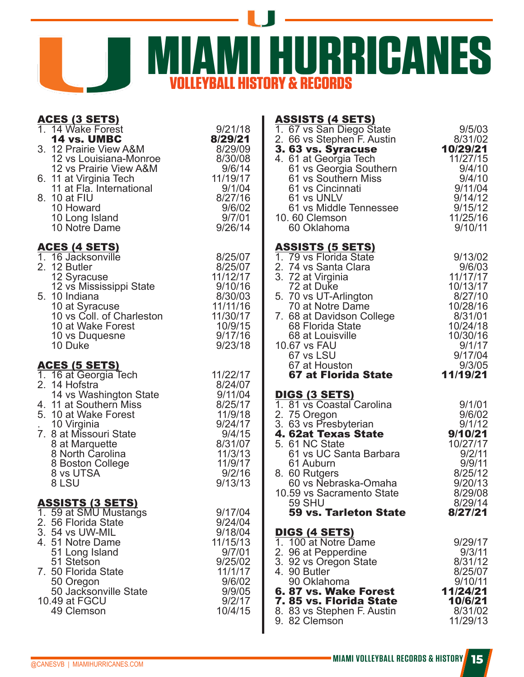

| <b>ACES (3 SETS)</b><br>1. 14 Wake Forest<br><b>14 vs. UMBC</b><br>3. 12 Prairie View A&M<br>12 vs Louisiana-Monroe<br>12 vs Prairie View A&M<br>6. 11 at Virginia Tech<br>11 at Fla. International<br>8. 10 at FIU<br>10 Howard<br>10 Long Island<br>10 Notre Dame | <b>ASSISTS (4 SETS)</b><br>9/21/18<br>1. 67 vs San Diego State<br>8/29/21<br>2. 66 vs Stephen F. Austin<br>3.63 vs. Syracuse<br>8/29/09<br>8/30/08<br>4. 61 at Georgia Tech<br>9/6/14<br>61 vs Georgia Southern<br>11/19/17<br>61 vs Southern Miss<br>9/1/04<br>61 vs Cincinnati<br>8/27/16<br>61 vs UNLV<br>9/6/02<br>61 vs Middle Tennessee<br>9/7/01<br>10.60 Clemson<br>9/26/14<br>60 Oklahoma                        | 9/5/03<br>8/31/02<br>10/29/21<br>11/27/15<br>9/4/10<br>9/4/10<br>9/11/04<br>9/14/12<br>9/15/12<br>11/25/16<br>9/10/11             |
|---------------------------------------------------------------------------------------------------------------------------------------------------------------------------------------------------------------------------------------------------------------------|---------------------------------------------------------------------------------------------------------------------------------------------------------------------------------------------------------------------------------------------------------------------------------------------------------------------------------------------------------------------------------------------------------------------------|-----------------------------------------------------------------------------------------------------------------------------------|
| <u>ACES (4 SETS)</u><br>1. 16 Jacksonville<br>2. 12 Butler<br>12 Syracuse<br>12 vs Mississippi State<br>5. 10 Indiana<br>10 at Syracuse<br>10 vs Coll. of Charleston<br>10 at Wake Forest<br>10 vs Duquesne<br>10 Duke                                              | <b>ASSISTS (5 SETS)</b><br>8/25/07<br>1. 79 vs Florida State<br>2. 74 vs Santa Clara<br>8/25/07<br>3. 72 at Virginia<br>11/12/17<br>9/10/16<br>72 at Duke<br>8/30/03<br>5. 70 vs UT-Arlington<br>11/11/16<br>70 at Notre Dame<br>11/30/17<br>10/9/15<br>9/17/16<br>68 at Louisville<br>9/23/18<br>10.67 vs FAU<br>67 vs LSU                                                                                               | 9/13/02<br>9/6/03<br>11/17/17<br>10/13/17<br>8/27/10<br>10/28/16<br>8/31/01<br>10/24/18<br>10/30/16<br>9/1/17<br>9/17/04          |
| <u>ACES (5 SETS)</u><br>1. 16 at Georgia Tech<br>2. 14 Hofstra<br>14 vs Washington State<br>4. 11 at Southern Miss<br>5. 10 at Wake Forest<br>10 Virginia<br>7. 8 at Missouri State<br>8 at Marquette<br>8 North Carolina<br>8 Boston College<br>8 vs UTSA<br>8 LSU | 67 at Houston<br>11/22/17<br>67 at Florida State<br>8/24/07<br>9/11/04<br><u>DIGS (3 SETS)</u><br>1. 81 vs Coastal Carolina<br>8/25/17<br>2. 75 Oregon<br>11/9/18<br>3. 63 vs Presbyterian<br>9/24/17<br>4. 62at Texas State<br>9/4/15<br>8/31/07<br>5. 61 NC State<br>61 vs UC Santa Barbara<br>11/3/13<br>11/9/17<br>61 Auburn<br>9/2/16<br>8. 60 Rutgers<br>9/13/13<br>60 vs Nebraska-Omaha                            | 9/3/05<br>11/19/21<br>9/1/01<br>9/6/02<br>9/1/12<br>9/10/21<br>10/27/17<br>9/2/11<br>9/9/11<br>8/25/12<br>9/20/13                 |
| <u>ASSISTS (3 SETS)</u><br>1. 59 at SMU Mustangs<br>2. 56 Florida State<br>3. 54 vs UW-MIL<br>4. 51 Notre Dame<br>51 Long Island<br>51 Stetson<br>7. 50 Florida State<br>50 Oregon<br>50 Jacksonville State<br>10.49 at FGCU<br>49 Clemson                          | 10.59 vs Sacramento State<br><b>59 SHU</b><br>9/17/04<br>59 vs. Tarleton State<br>9/24/04<br>9/18/04<br><u>DIGS (4 SETS)</u><br>11/15/13<br>1. 100 at Notre Dame<br>9/7/01<br>2. 96 at Pepperdine<br>9/25/02<br>3. 92 vs Oregon State<br>11/1/17<br>4. 90 Butler<br>9/6/02<br>90 Oklahoma<br>9/9/05<br>6.87 vs. Wake Forest<br>9/2/17<br>7.85 vs. Florida State<br>10/4/15<br>8. 83 vs Stephen F. Austin<br>9. 82 Clemson | 8/29/08<br>8/29/14<br>8/27/21<br>9/29/17<br>9/3/11<br>8/31/12<br>8/25/07<br>9/10/11<br>11/24/21<br>10/6/21<br>8/31/02<br>11/29/13 |